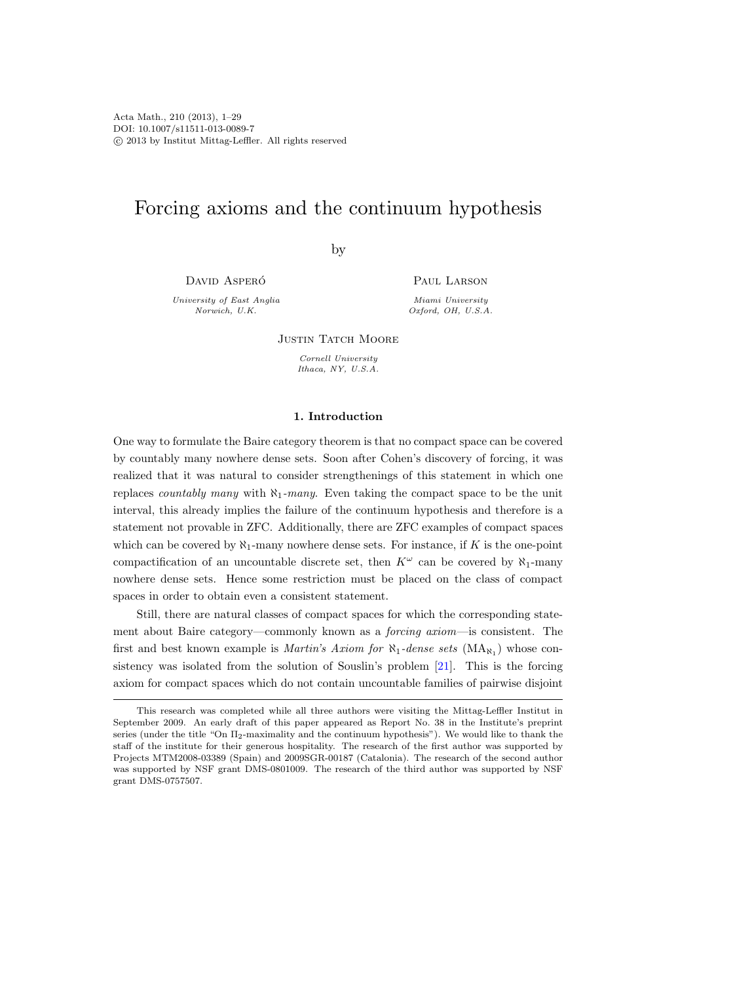# Forcing axioms and the continuum hypothesis

by

DAVID ASPERÓ

University of East Anglia Norwich, U.K.

PAUL LARSON

Miami University Oxford, OH, U.S.A.

**JUSTIN TATCH MOORE** 

Cornell University Ithaca, NY, U.S.A.

### 1. Introduction

One way to formulate the Baire category theorem is that no compact space can be covered by countably many nowhere dense sets. Soon after Cohen's discovery of forcing, it was realized that it was natural to consider strengthenings of this statement in which one replaces *countably many* with  $\aleph_1$ -many. Even taking the compact space to be the unit interval, this already implies the failure of the continuum hypothesis and therefore is a statement not provable in ZFC. Additionally, there are ZFC examples of compact spaces which can be covered by  $\aleph_1$ -many nowhere dense sets. For instance, if K is the one-point compactification of an uncountable discrete set, then  $K^{\omega}$  can be covered by  $\aleph_1$ -many nowhere dense sets. Hence some restriction must be placed on the class of compact spaces in order to obtain even a consistent statement.

Still, there are natural classes of compact spaces for which the corresponding statement about Baire category—commonly known as a forcing axiom—is consistent. The first and best known example is *Martin's Axiom for*  $\aleph_1$ -dense sets  $(MA_{\aleph_1})$  whose consistency was isolated from the solution of Souslin's problem [\[21\]](#page-28-0). This is the forcing axiom for compact spaces which do not contain uncountable families of pairwise disjoint

This research was completed while all three authors were visiting the Mittag-Leffler Institut in September 2009. An early draft of this paper appeared as Report No. 38 in the Institute's preprint series (under the title "On Π2-maximality and the continuum hypothesis"). We would like to thank the staff of the institute for their generous hospitality. The research of the first author was supported by Projects MTM2008-03389 (Spain) and 2009SGR-00187 (Catalonia). The research of the second author was supported by NSF grant DMS-0801009. The research of the third author was supported by NSF grant DMS-0757507.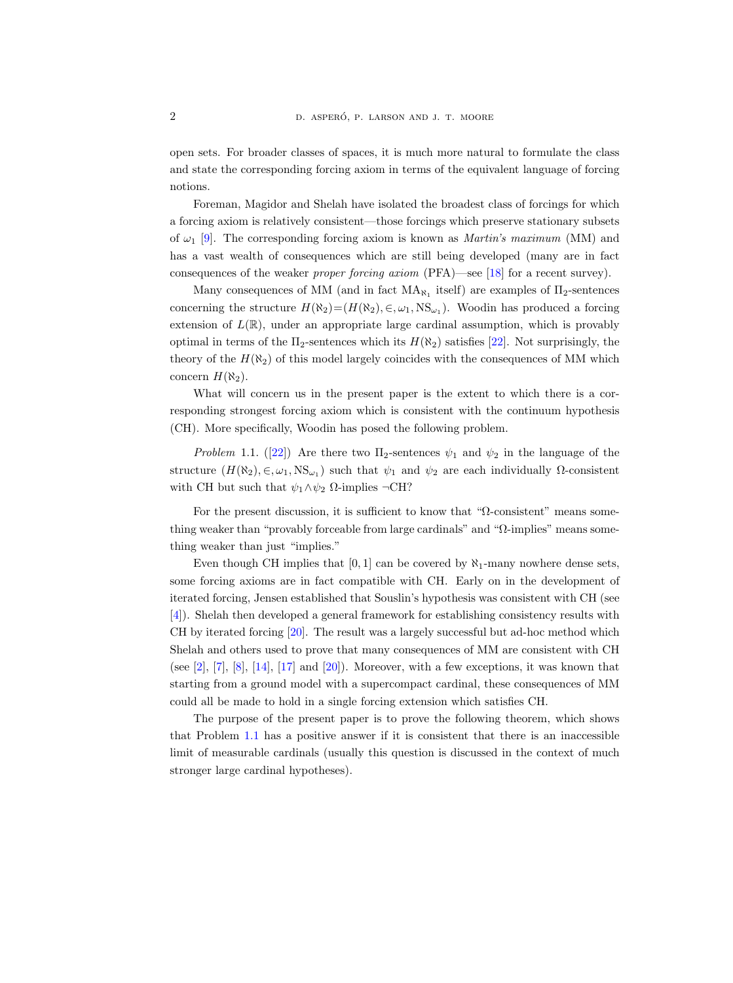open sets. For broader classes of spaces, it is much more natural to formulate the class and state the corresponding forcing axiom in terms of the equivalent language of forcing notions.

Foreman, Magidor and Shelah have isolated the broadest class of forcings for which a forcing axiom is relatively consistent—those forcings which preserve stationary subsets of  $\omega_1$  [\[9\]](#page-27-0). The corresponding forcing axiom is known as *Martin's maximum* (MM) and has a vast wealth of consequences which are still being developed (many are in fact consequences of the weaker proper forcing axiom (PFA)—see [\[18\]](#page-28-1) for a recent survey).

Many consequences of MM (and in fact  $MA_{\aleph_1}$  itself) are examples of  $\Pi_2$ -sentences concerning the structure  $H(\aleph_2) = (H(\aleph_2), \in, \omega_1, \text{NS}_{\omega_1})$ . Woodin has produced a forcing extension of  $L(\mathbb{R})$ , under an appropriate large cardinal assumption, which is provably optimal in terms of the  $\Pi_2$ -sentences which its  $H(\aleph_2)$  satisfies [\[22\]](#page-28-2). Not surprisingly, the theory of the  $H(\aleph_2)$  of this model largely coincides with the consequences of MM which concern  $H(\aleph_2)$ .

What will concern us in the present paper is the extent to which there is a corresponding strongest forcing axiom which is consistent with the continuum hypothesis (CH). More specifically, Woodin has posed the following problem.

<span id="page-1-0"></span>Problem 1.1. ([\[22\]](#page-28-2)) Are there two  $\Pi_2$ -sentences  $\psi_1$  and  $\psi_2$  in the language of the structure  $(H(\aleph_2), \in, \omega_1, \text{NS}_{\omega_1})$  such that  $\psi_1$  and  $\psi_2$  are each individually  $\Omega$ -consistent with CH but such that  $\psi_1 \wedge \psi_2$  Ω-implies  $\neg$ CH?

For the present discussion, it is sufficient to know that "Ω-consistent" means something weaker than "provably forceable from large cardinals" and "Ω-implies" means something weaker than just "implies."

Even though CH implies that [0, 1] can be covered by  $\aleph_1$ -many nowhere dense sets, some forcing axioms are in fact compatible with CH. Early on in the development of iterated forcing, Jensen established that Souslin's hypothesis was consistent with CH (see [\[4\]](#page-27-1)). Shelah then developed a general framework for establishing consistency results with CH by iterated forcing [\[20\]](#page-28-3). The result was a largely successful but ad-hoc method which Shelah and others used to prove that many consequences of MM are consistent with CH (see  $[2]$ ,  $[7]$ ,  $[8]$ ,  $[14]$ ,  $[17]$  and  $[20]$ ). Moreover, with a few exceptions, it was known that starting from a ground model with a supercompact cardinal, these consequences of MM could all be made to hold in a single forcing extension which satisfies CH.

<span id="page-1-1"></span>The purpose of the present paper is to prove the following theorem, which shows that Problem [1.1](#page-1-0) has a positive answer if it is consistent that there is an inaccessible limit of measurable cardinals (usually this question is discussed in the context of much stronger large cardinal hypotheses).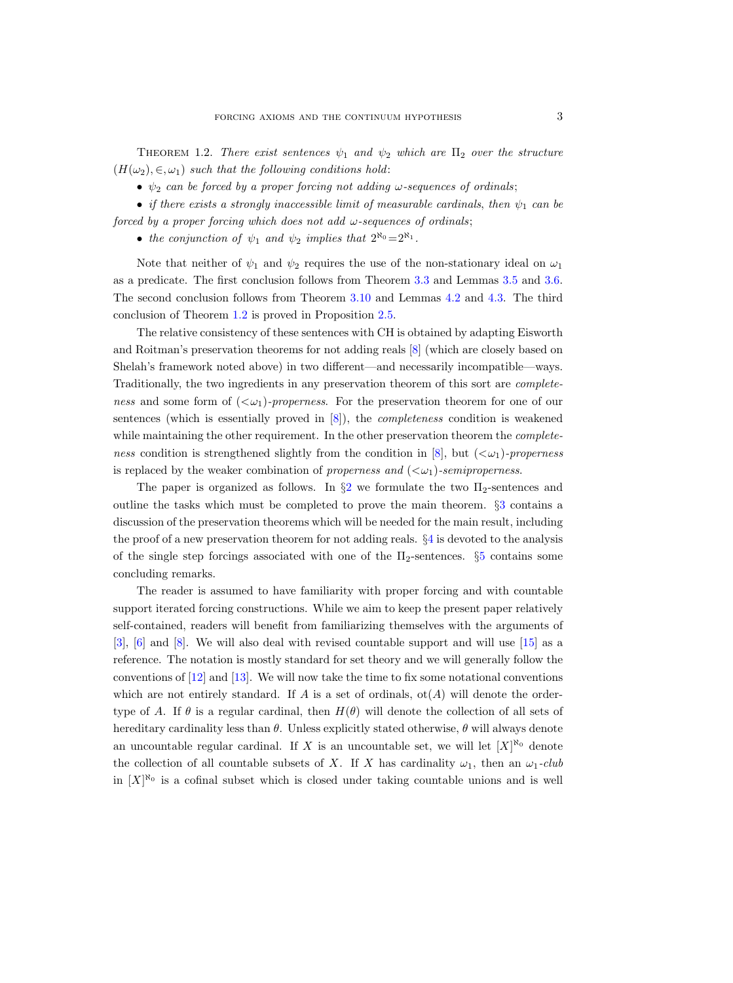THEOREM 1.2. There exist sentences  $\psi_1$  and  $\psi_2$  which are  $\Pi_2$  over the structure  $(H(\omega_2), \in, \omega_1)$  such that the following conditions hold:

•  $\psi_2$  can be forced by a proper forcing not adding  $\omega$ -sequences of ordinals;

• if there exists a strongly inaccessible limit of measurable cardinals, then  $\psi_1$  can be forced by a proper forcing which does not add  $\omega$ -sequences of ordinals;

• the conjunction of  $\psi_1$  and  $\psi_2$  implies that  $2^{\aleph_0}=2^{\aleph_1}$ .

Note that neither of  $\psi_1$  and  $\psi_2$  requires the use of the non-stationary ideal on  $\omega_1$ as a predicate. The first conclusion follows from Theorem [3.3](#page-8-0) and Lemmas [3.5](#page-9-0) and [3.6.](#page-10-0) The second conclusion follows from Theorem [3.10](#page-13-0) and Lemmas [4.2](#page-21-0) and [4.3.](#page-21-1) The third conclusion of Theorem [1.2](#page-1-1) is proved in Proposition [2.5.](#page-6-0)

The relative consistency of these sentences with CH is obtained by adapting Eisworth and Roitman's preservation theorems for not adding reals [\[8\]](#page-27-4) (which are closely based on Shelah's framework noted above) in two different—and necessarily incompatible—ways. Traditionally, the two ingredients in any preservation theorem of this sort are completeness and some form of  $( $\omega_1$ )-properness. For the preservation theorem for one of our$ sentences (which is essentially proved in  $[8]$ ), the *completeness* condition is weakened while maintaining the other requirement. In the other preservation theorem the *complete-*ness condition is strengthened slightly from the condition in [\[8\]](#page-27-4), but  $( $\omega_1$ )-properties$ is replaced by the weaker combination of properness and  $( $\omega_1$ )-semiproperness.$ 

The paper is organized as follows. In  $\S2$  $\S2$  we formulate the two  $\Pi_2$ -sentences and outline the tasks which must be completed to prove the main theorem. §[3](#page-7-0) contains a discussion of the preservation theorems which will be needed for the main result, including the proof of a new preservation theorem for not adding reals. §[4](#page-18-0) is devoted to the analysis of the single step forcings associated with one of the  $\Pi_2$ -sentences. §[5](#page-26-0) contains some concluding remarks.

The reader is assumed to have familiarity with proper forcing and with countable support iterated forcing constructions. While we aim to keep the present paper relatively self-contained, readers will benefit from familiarizing themselves with the arguments of [\[3\]](#page-27-5), [\[6\]](#page-27-6) and [\[8\]](#page-27-4). We will also deal with revised countable support and will use [\[15\]](#page-28-6) as a reference. The notation is mostly standard for set theory and we will generally follow the conventions of [\[12\]](#page-27-7) and [\[13\]](#page-28-7). We will now take the time to fix some notational conventions which are not entirely standard. If  $A$  is a set of ordinals,  $ot(A)$  will denote the ordertype of A. If  $\theta$  is a regular cardinal, then  $H(\theta)$  will denote the collection of all sets of hereditary cardinality less than  $\theta$ . Unless explicitly stated otherwise,  $\theta$  will always denote an uncountable regular cardinal. If X is an uncountable set, we will let  $[X]^{\aleph_0}$  denote the collection of all countable subsets of X. If X has cardinality  $\omega_1$ , then an  $\omega_1$ -club in  $[X]^{\aleph_0}$  is a cofinal subset which is closed under taking countable unions and is well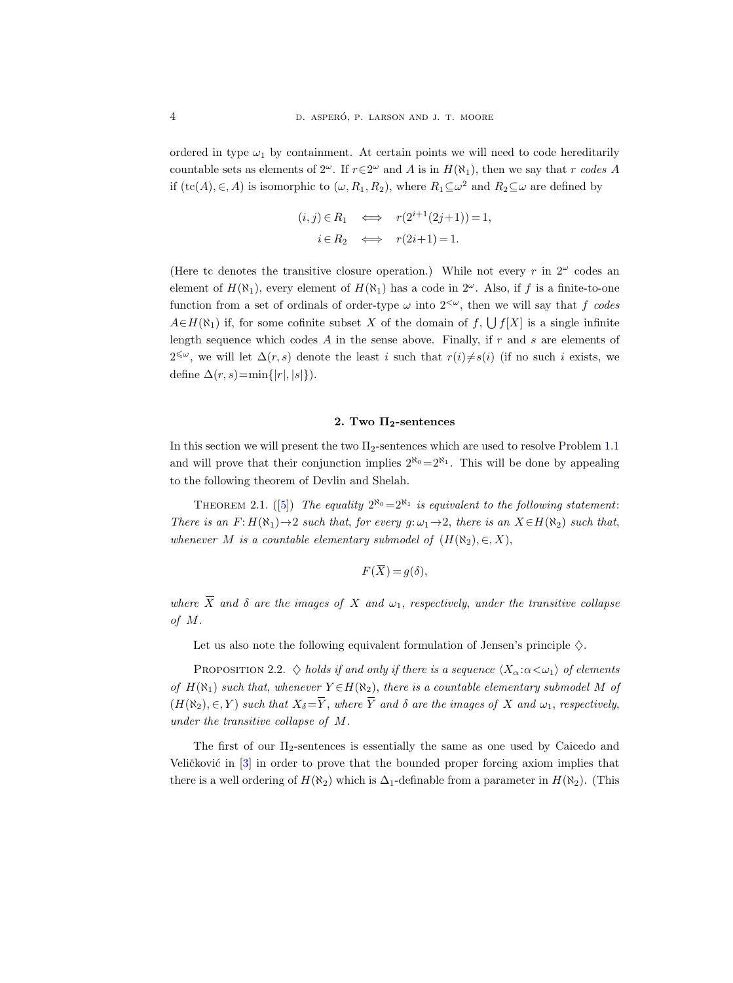ordered in type  $\omega_1$  by containment. At certain points we will need to code hereditarily countable sets as elements of  $2^{\omega}$ . If  $r \in 2^{\omega}$  and A is in  $H(\aleph_1)$ , then we say that r codes A if  $(\text{tc}(A), \in, A)$  is isomorphic to  $(\omega, R_1, R_2)$ , where  $R_1 \subseteq \omega^2$  and  $R_2 \subseteq \omega$  are defined by

$$
(i, j) \in R_1 \iff r(2^{i+1}(2j+1)) = 1,
$$
  

$$
i \in R_2 \iff r(2i+1) = 1.
$$

(Here tc denotes the transitive closure operation.) While not every r in  $2^{\omega}$  codes an element of  $H(\aleph_1)$ , every element of  $H(\aleph_1)$  has a code in  $2^\omega$ . Also, if f is a finite-to-one function from a set of ordinals of order-type  $\omega$  into  $2^{<\omega}$ , then we will say that f codes  $A \in H(\aleph_1)$  if, for some cofinite subset X of the domain of  $f$ ,  $\bigcup f[X]$  is a single infinite length sequence which codes A in the sense above. Finally, if r and s are elements of 2<sup>≤ω</sup>, we will let  $\Delta(r, s)$  denote the least *i* such that  $r(i) \neq s(i)$  (if no such *i* exists, we define  $\Delta(r, s) = \min\{|r|, |s|\}.$ 

## 2. Two  $\Pi_2$ -sentences

<span id="page-3-0"></span>In this section we will present the two Π2-sentences which are used to resolve Problem [1.1](#page-1-0) and will prove that their conjunction implies  $2^{\aleph_0}=2^{\aleph_1}$ . This will be done by appealing to the following theorem of Devlin and Shelah.

<span id="page-3-1"></span>THEOREM 2.1. ([\[5\]](#page-27-8)) The equality  $2^{\aleph_0}=2^{\aleph_1}$  is equivalent to the following statement: There is an  $F: H(\aleph_1) \to 2$  such that, for every  $g: \omega_1 \to 2$ , there is an  $X \in H(\aleph_2)$  such that, whenever M is a countable elementary submodel of  $(H(\aleph_2), \in, X)$ ,

$$
F(\overline{X}) = g(\delta),
$$

where  $\overline{X}$  and  $\delta$  are the images of X and  $\omega_1$ , respectively, under the transitive collapse of M.

Let us also note the following equivalent formulation of Jensen's principle  $\diamondsuit$ .

PROPOSITION 2.2.  $\diamondsuit$  holds if and only if there is a sequence  $\langle X_\alpha : \alpha < \omega_1 \rangle$  of elements of  $H(\aleph_1)$  such that, whenever  $Y \in H(\aleph_2)$ , there is a countable elementary submodel M of  $(H(\aleph_2), \in, Y)$  such that  $X_{\delta} = \overline{Y}$ , where  $\overline{Y}$  and  $\delta$  are the images of X and  $\omega_1$ , respectively, under the transitive collapse of M.

The first of our  $\Pi_2$ -sentences is essentially the same as one used by Caicedo and Veličković in  $[3]$  in order to prove that the bounded proper forcing axiom implies that there is a well ordering of  $H(\aleph_2)$  which is  $\Delta_1$ -definable from a parameter in  $H(\aleph_2)$ . (This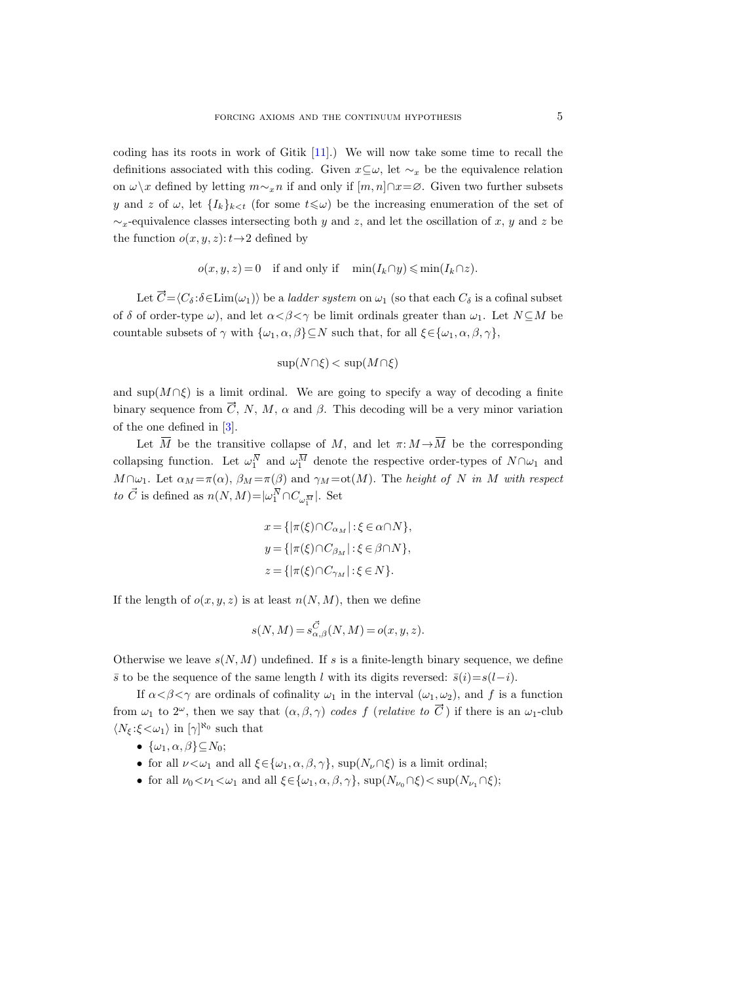coding has its roots in work of Gitik [\[11\]](#page-27-9).) We will now take some time to recall the definitions associated with this coding. Given  $x \subseteq \omega$ , let  $\sim_x$  be the equivalence relation on  $\omega\setminus x$  defined by letting  $m\sim_x n$  if and only if  $[m, n]\cap x = ∅$ . Given two further subsets y and z of  $\omega$ , let  $\{I_k\}_{k\leq t}$  (for some  $t\leq \omega$ ) be the increasing enumeration of the set of  $\sim_x$ -equivalence classes intersecting both y and z, and let the oscillation of x, y and z be the function  $o(x, y, z): t \rightarrow 2$  defined by

$$
o(x, y, z) = 0 \quad \text{if and only if} \quad \min(I_k \cap y) \leqslant \min(I_k \cap z).
$$

Let  $\vec{C} = \langle C_\delta : \delta \in \text{Lim}(\omega_1) \rangle$  be a *ladder system* on  $\omega_1$  (so that each  $C_\delta$  is a cofinal subset of  $\delta$  of order-type  $\omega$ ), and let  $\alpha < \beta < \gamma$  be limit ordinals greater than  $\omega_1$ . Let  $N \subseteq M$  be countable subsets of  $\gamma$  with  $\{\omega_1, \alpha, \beta\} \subseteq N$  such that, for all  $\xi \in {\{\omega_1, \alpha, \beta, \gamma\}}$ ,

$$
\sup(N \cap \xi) < \sup(M \cap \xi)
$$

and sup $(M \cap \xi)$  is a limit ordinal. We are going to specify a way of decoding a finite binary sequence from  $\overline{C}$ , N, M,  $\alpha$  and  $\beta$ . This decoding will be a very minor variation of the one defined in [\[3\]](#page-27-5).

Let  $\overline{M}$  be the transitive collapse of M, and let  $\pi: M \to \overline{M}$  be the corresponding collapsing function. Let  $\omega_1^{\overline{N}}$  and  $\omega_1^{\overline{M}}$  denote the respective order-types of  $N \cap \omega_1$  and  $M \cap \omega_1$ . Let  $\alpha_M = \pi(\alpha)$ ,  $\beta_M = \pi(\beta)$  and  $\gamma_M = \text{ot}(M)$ . The height of N in M with respect  $to~\vec{C}$  is defined as  $n(N,M) \!=\! |\omega_{1}^{\overline{N}} \!\cap\! C_{\omega_{1}^{\overline{M}}} |.$  Set

$$
x = \{ |\pi(\xi) \cap C_{\alpha_M} | : \xi \in \alpha \cap N \},
$$
  
\n
$$
y = \{ |\pi(\xi) \cap C_{\beta_M} | : \xi \in \beta \cap N \},
$$
  
\n
$$
z = \{ |\pi(\xi) \cap C_{\gamma_M} | : \xi \in N \}.
$$

If the length of  $o(x, y, z)$  is at least  $n(N, M)$ , then we define

$$
s(N, M) = s_{\alpha, \beta}^{\vec{C}}(N, M) = o(x, y, z).
$$

Otherwise we leave  $s(N, M)$  undefined. If s is a finite-length binary sequence, we define  $\bar{s}$  to be the sequence of the same length l with its digits reversed:  $\bar{s}(i)=s(l-i)$ .

If  $\alpha < \beta < \gamma$  are ordinals of cofinality  $\omega_1$  in the interval  $(\omega_1, \omega_2)$ , and f is a function from  $\omega_1$  to  $2^{\omega}$ , then we say that  $(\alpha, \beta, \gamma)$  codes f (relative to  $\vec{C}$ ) if there is an  $\omega_1$ -club  $\langle N_{\xi}:\xi<\omega_1\rangle$  in  $[\gamma]^{\aleph_0}$  such that

- $\{\omega_1, \alpha, \beta\} \subseteq N_0;$
- for all  $\nu < \omega_1$  and all  $\xi \in {\omega_1, \alpha, \beta, \gamma}$ , sup $(N_\nu \cap \xi)$  is a limit ordinal;
- for all  $\nu_0 < \nu_1 < \omega_1$  and all  $\xi \in {\{\omega_1, \alpha, \beta, \gamma\}}$ ,  $\sup(N_{\nu_0} \cap \xi) < \sup(N_{\nu_1} \cap \xi)$ ;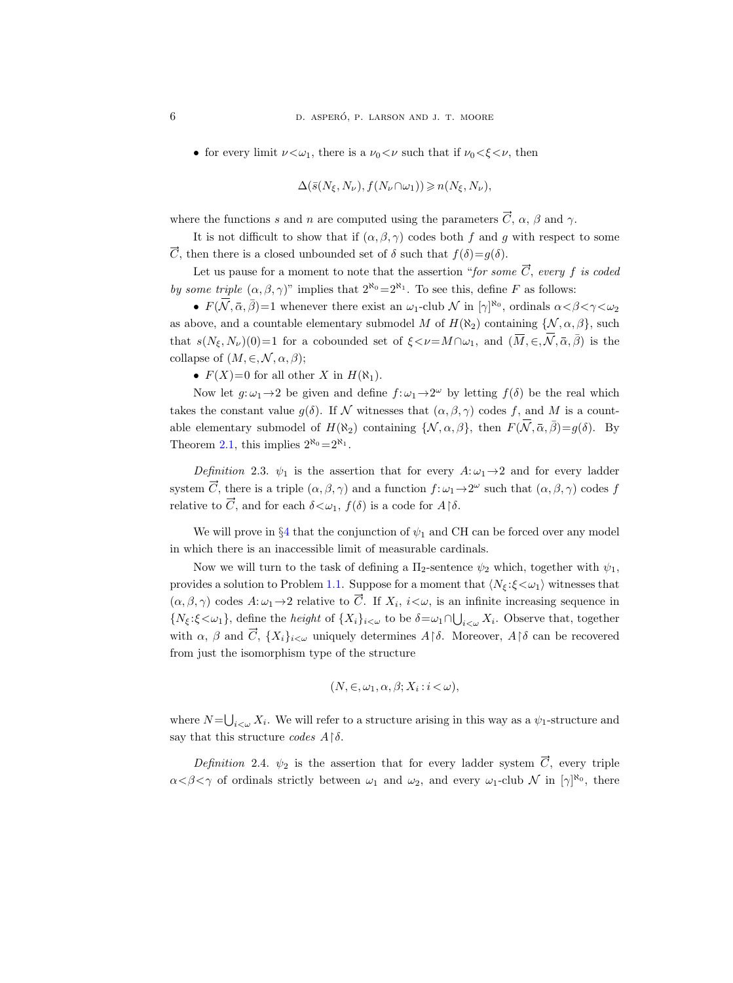• for every limit  $\nu < \omega_1$ , there is a  $\nu_0 < \nu$  such that if  $\nu_0 < \xi < \nu$ , then

$$
\Delta(\bar{s}(N_{\xi}, N_{\nu}), f(N_{\nu} \cap \omega_1)) \geqslant n(N_{\xi}, N_{\nu}),
$$

where the functions s and n are computed using the parameters  $\vec{C}$ ,  $\alpha$ ,  $\beta$  and  $\gamma$ .

It is not difficult to show that if  $(\alpha, \beta, \gamma)$  codes both f and g with respect to some  $\vec{C}$ , then there is a closed unbounded set of  $\delta$  such that  $f(\delta)=g(\delta)$ .

Let us pause for a moment to note that the assertion "for some  $\vec{C}$ , every f is coded by some triple  $(\alpha, \beta, \gamma)$ " implies that  $2^{\aleph_0} = 2^{\aleph_1}$ . To see this, define F as follows:

•  $F(\overline{\mathcal{N}}, \overline{\alpha}, \overline{\beta}) = 1$  whenever there exist an  $\omega_1$ -club  $\mathcal{N}$  in  $[\gamma]^{\aleph_0}$ , ordinals  $\alpha < \beta < \gamma < \omega_2$ as above, and a countable elementary submodel M of  $H(\aleph_2)$  containing  $\{\mathcal{N}, \alpha, \beta\}$ , such that  $s(N_\xi, N_\nu)(0)=1$  for a cobounded set of  $\xi \leq \nu = M \cap \omega_1$ , and  $(\overline{M}, \in, \overline{N}, \overline{\alpha}, \overline{\beta})$  is the collapse of  $(M, \in, \mathcal{N}, \alpha, \beta);$ 

•  $F(X)=0$  for all other X in  $H(\aleph_1)$ .

Now let  $g: \omega_1 \to 2$  be given and define  $f: \omega_1 \to 2^{\omega}$  by letting  $f(\delta)$  be the real which takes the constant value  $g(\delta)$ . If N witnesses that  $(\alpha, \beta, \gamma)$  codes f, and M is a countable elementary submodel of  $H(\aleph_2)$  containing  $\{\mathcal{N}, \alpha, \beta\}$ , then  $F(\overline{\mathcal{N}}, \overline{\alpha}, \overline{\beta})=g(\delta)$ . By Theorem [2.1,](#page-3-1) this implies  $2^{\aleph_0}=2^{\aleph_1}$ .

Definition 2.3.  $\psi_1$  is the assertion that for every  $A: \omega_1 \rightarrow 2$  and for every ladder system  $\vec{C}$ , there is a triple  $(\alpha, \beta, \gamma)$  and a function  $f: \omega_1 \to 2^{\omega}$  such that  $(\alpha, \beta, \gamma)$  codes f relative to  $\vec{C}$ , and for each  $\delta \langle \omega_1, f(\delta) \rangle$  is a code for  $A \upharpoonright \delta$ .

We will prove in §[4](#page-18-0) that the conjunction of  $\psi_1$  and CH can be forced over any model in which there is an inaccessible limit of measurable cardinals.

Now we will turn to the task of defining a  $\Pi_2$ -sentence  $\psi_2$  which, together with  $\psi_1$ , provides a solution to Problem [1.1.](#page-1-0) Suppose for a moment that  $\langle N_{\xi} : \xi \langle \omega_1 \rangle$  witnesses that  $(\alpha, \beta, \gamma)$  codes  $A:\omega_1 \to 2$  relative to  $\vec{C}$ . If  $X_i$ ,  $i<\omega$ , is an infinite increasing sequence in  $\{N_{\xi}:\xi<\omega_1\}$ , define the *height* of  $\{X_i\}_{i<\omega}$  to be  $\delta=\omega_1\cap\bigcup_{i<\omega}X_i$ . Observe that, together with  $\alpha$ ,  $\beta$  and  $\overrightarrow{C}$ ,  $\{X_i\}_{i\leq \omega}$  uniquely determines  $A\upharpoonright \delta$ . Moreover,  $A\upharpoonright \delta$  can be recovered from just the isomorphism type of the structure

$$
(N, \in, \omega_1, \alpha, \beta; X_i : i < \omega),
$$

where  $N=\bigcup_{i<\omega} X_i$ . We will refer to a structure arising in this way as a  $\psi_1$ -structure and say that this structure codes  $A\upharpoonright \delta$ .

Definition 2.4.  $\psi_2$  is the assertion that for every ladder system  $\vec{C}$ , every triple  $\alpha < \beta < \gamma$  of ordinals strictly between  $\omega_1$  and  $\omega_2$ , and every  $\omega_1$ -club N in  $[\gamma]^{\aleph_0}$ , there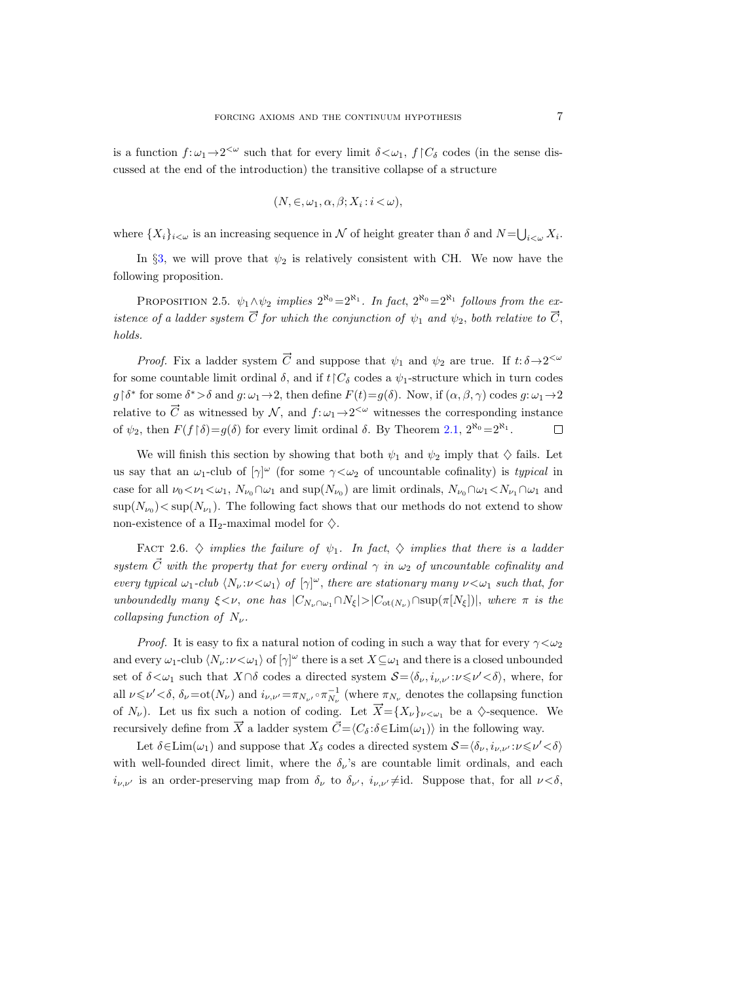is a function  $f: \omega_1 \to 2^{\lt \omega}$  such that for every limit  $\delta \lt \omega_1$ ,  $f \upharpoonright C_\delta$  codes (in the sense discussed at the end of the introduction) the transitive collapse of a structure

$$
(N, \in, \omega_1, \alpha, \beta; X_i : i < \omega),
$$

where  $\{X_i\}_{i\leq \omega}$  is an increasing sequence in N of height greater than  $\delta$  and  $N=\bigcup_{i\leq \omega} X_i$ .

In  $\S3$ , we will prove that  $\psi_2$  is relatively consistent with CH. We now have the following proposition.

<span id="page-6-0"></span>PROPOSITION 2.5.  $\psi_1 \wedge \psi_2$  implies  $2^{\aleph_0} = 2^{\aleph_1}$ . In fact,  $2^{\aleph_0} = 2^{\aleph_1}$  follows from the existence of a ladder system  $\vec{C}$  for which the conjunction of  $\psi_1$  and  $\psi_2$ , both relative to  $\vec{C}$ , holds.

*Proof.* Fix a ladder system  $\vec{C}$  and suppose that  $\psi_1$  and  $\psi_2$  are true. If  $t: \delta \rightarrow 2^{\langle \omega \rangle}$ for some countable limit ordinal  $\delta$ , and if  $t\upharpoonright C_{\delta}$  codes a  $\psi_1$ -structure which in turn codes  $g \upharpoonright \delta^*$  for some  $\delta^* > \delta$  and  $g: \omega_1 \to 2$ , then define  $F(t) = g(\delta)$ . Now, if  $(\alpha, \beta, \gamma)$  codes  $g: \omega_1 \to 2$ relative to  $\vec{C}$  as witnessed by  $\mathcal{N}$ , and  $f: \omega_1 \to 2^{\langle \omega \rangle}$  witnesses the corresponding instance of  $\psi_2$ , then  $F(f \mid \delta) = g(\delta)$  for every limit ordinal  $\delta$ . By Theorem [2.1,](#page-3-1)  $2^{\aleph_0} = 2^{\aleph_1}$ .  $\Box$ 

We will finish this section by showing that both  $\psi_1$  and  $\psi_2$  imply that  $\diamondsuit$  fails. Let us say that an  $\omega_1$ -club of  $[\gamma]^\omega$  (for some  $\gamma<\omega_2$  of uncountable cofinality) is typical in case for all  $\nu_0 < \nu_1 < \omega_1$ ,  $N_{\nu_0} \cap \omega_1$  and  $\sup(N_{\nu_0})$  are limit ordinals,  $N_{\nu_0} \cap \omega_1 < N_{\nu_1} \cap \omega_1$  and  $\sup(N_{\nu_0})$   $<$  sup $(N_{\nu_1})$ . The following fact shows that our methods do not extend to show non-existence of a  $\Pi_2$ -maximal model for  $\diamondsuit$ .

FACT 2.6.  $\diamond$  implies the failure of  $\psi_1$ . In fact,  $\diamond$  implies that there is a ladder system  $\vec{C}$  with the property that for every ordinal  $\gamma$  in  $\omega_2$  of uncountable cofinality and every typical  $\omega_1$ -club  $\langle N_\nu : \nu < \omega_1 \rangle$  of  $[\gamma]^\omega$ , there are stationary many  $\nu < \omega_1$  such that, for unboundedly many  $\xi < \nu$ , one has  $|C_{N_{\nu}\cap\omega_1}\cap N_{\xi}|>|C_{\text{ot}(N_{\nu})}\cap \text{sup}(\pi[N_{\xi}])|$ , where  $\pi$  is the collapsing function of  $N_{\nu}$ .

*Proof.* It is easy to fix a natural notion of coding in such a way that for every  $\gamma < \omega_2$ and every  $\omega_1$ -club  $\langle N_\nu : \nu < \omega_1 \rangle$  of  $[\gamma]^\omega$  there is a set  $X \subseteq \omega_1$  and there is a closed unbounded set of  $\delta < \omega_1$  such that  $X \cap \delta$  codes a directed system  $S = \langle \delta_{\nu}, i_{\nu,\nu'} : \nu \leq \nu' < \delta \rangle$ , where, for all  $\nu \le \nu' < \delta$ ,  $\delta_{\nu} = \text{ot}(N_{\nu})$  and  $i_{\nu,\nu'} = \pi_{N_{\nu'}} \circ \pi_{N_{\nu}}^{-1}$  (where  $\pi_{N_{\nu}}$  denotes the collapsing function of  $N_{\nu}$ ). Let us fix such a notion of coding. Let  $\vec{X} = \{X_{\nu}\}_{\nu < \omega_1}$  be a  $\diamondsuit$ -sequence. We recursively define from  $\overrightarrow{X}$  a ladder system  $\overrightarrow{C} = \langle C_{\delta} : \delta \in \text{Lim}(\omega_1) \rangle$  in the following way.

Let  $\delta \in \text{Lim}(\omega_1)$  and suppose that  $X_\delta$  codes a directed system  $\mathcal{S} = \langle \delta_\nu, i_{\nu,\nu'} : \nu \leq \nu' < \delta \rangle$ with well-founded direct limit, where the  $\delta_{\nu}$ 's are countable limit ordinals, and each  $i_{\nu,\nu'}$  is an order-preserving map from  $\delta_{\nu}$  to  $\delta_{\nu'}, i_{\nu,\nu'} \neq id$ . Suppose that, for all  $\nu < \delta$ ,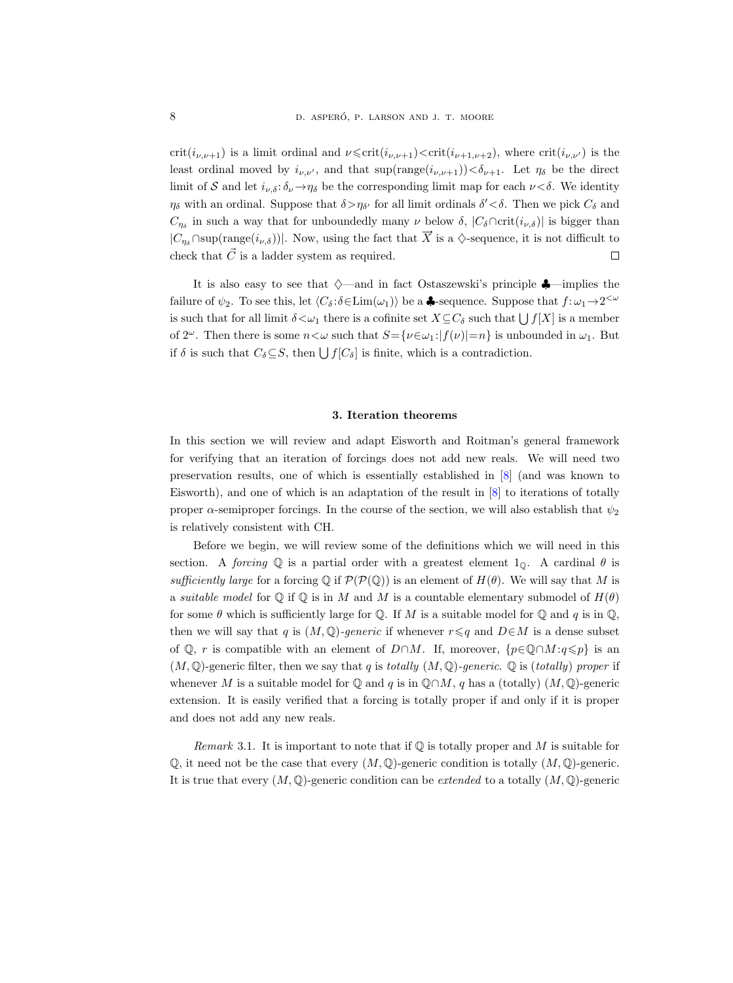crit( $i_{\nu,\nu+1}$ ) is a limit ordinal and  $\nu \leq \text{crit}(i_{\nu,\nu+1}) \leq \text{crit}(i_{\nu+1,\nu+2})$ , where  $\text{crit}(i_{\nu,\nu})$  is the least ordinal moved by  $i_{\nu,\nu'}$ , and that  $\sup(\text{range}(i_{\nu,\nu+1})) < \delta_{\nu+1}$ . Let  $\eta_{\delta}$  be the direct limit of S and let  $i_{\nu,\delta}$ :  $\delta_{\nu} \rightarrow \eta_{\delta}$  be the corresponding limit map for each  $\nu < \delta$ . We identity  $\eta_{\delta}$  with an ordinal. Suppose that  $\delta > \eta_{\delta'}$  for all limit ordinals  $\delta' < \delta$ . Then we pick  $C_{\delta}$  and  $C_{\eta\delta}$  in such a way that for unboundedly many  $\nu$  below  $\delta$ ,  $|C_{\delta} \cap \text{crit}(i_{\nu,\delta})|$  is bigger than  $|C_{\eta_{\delta}} \cap \text{sup}(\text{range}(i_{\nu,\delta}))|$ . Now, using the fact that  $\overrightarrow{X}$  is a  $\diamondsuit$ -sequence, it is not difficult to check that  $\vec{C}$  is a ladder system as required.  $\Box$ 

It is also easy to see that  $\diamond$ —and in fact Ostaszewski's principle  $\clubsuit$ —implies the failure of  $\psi_2$ . To see this, let  $\langle C_\delta : \delta \in \text{Lim}(\omega_1) \rangle$  be a  $\clubsuit$ -sequence. Suppose that  $f: \omega_1 \to 2^{<\omega}$ is such that for all limit  $\delta \lt \omega_1$  there is a cofinite set  $X \subseteq C_\delta$  such that  $\bigcup f[X]$  is a member of  $2^{\omega}$ . Then there is some  $n<\omega$  such that  $S=\{\nu\in\omega_1:|f(\nu)|=n\}$  is unbounded in  $\omega_1$ . But if  $\delta$  is such that  $C_{\delta} \subseteq S$ , then  $\bigcup f[C_{\delta}]$  is finite, which is a contradiction.

#### 3. Iteration theorems

<span id="page-7-0"></span>In this section we will review and adapt Eisworth and Roitman's general framework for verifying that an iteration of forcings does not add new reals. We will need two preservation results, one of which is essentially established in [\[8\]](#page-27-4) (and was known to Eisworth), and one of which is an adaptation of the result in [\[8\]](#page-27-4) to iterations of totally proper  $\alpha$ -semiproper forcings. In the course of the section, we will also establish that  $\psi_2$ is relatively consistent with CH.

Before we begin, we will review some of the definitions which we will need in this section. A forcing  $\mathbb Q$  is a partial order with a greatest element  $1_{\mathbb Q}$ . A cardinal  $\theta$  is sufficiently large for a forcing  $\mathbb Q$  if  $\mathcal P(\mathcal P(\mathbb Q))$  is an element of  $H(\theta)$ . We will say that M is a suitable model for  $\mathbb Q$  if  $\mathbb Q$  is in M and M is a countable elementary submodel of  $H(\theta)$ for some  $\theta$  which is sufficiently large for Q. If M is a suitable model for Q and q is in Q, then we will say that q is  $(M, \mathbb{Q})$ -generic if whenever  $r \leq q$  and  $D \in M$  is a dense subset of  $\mathbb{Q}$ , r is compatible with an element of D∩M. If, moreover,  $\{p \in \mathbb{Q} \cap M : q \leq p\}$  is an  $(M, \mathbb{Q})$ -generic filter, then we say that q is totally  $(M, \mathbb{Q})$ -generic.  $\mathbb{Q}$  is (totally) proper if whenever M is a suitable model for  $\mathbb Q$  and q is in  $\mathbb Q \cap M$ , q has a (totally)  $(M, \mathbb Q)$ -generic extension. It is easily verified that a forcing is totally proper if and only if it is proper and does not add any new reals.

*Remark* 3.1. It is important to note that if  $\mathbb Q$  is totally proper and M is suitable for  $\mathbb{Q}$ , it need not be the case that every  $(M, \mathbb{Q})$ -generic condition is totally  $(M, \mathbb{Q})$ -generic. It is true that every  $(M, \mathbb{Q})$ -generic condition can be *extended* to a totally  $(M, \mathbb{Q})$ -generic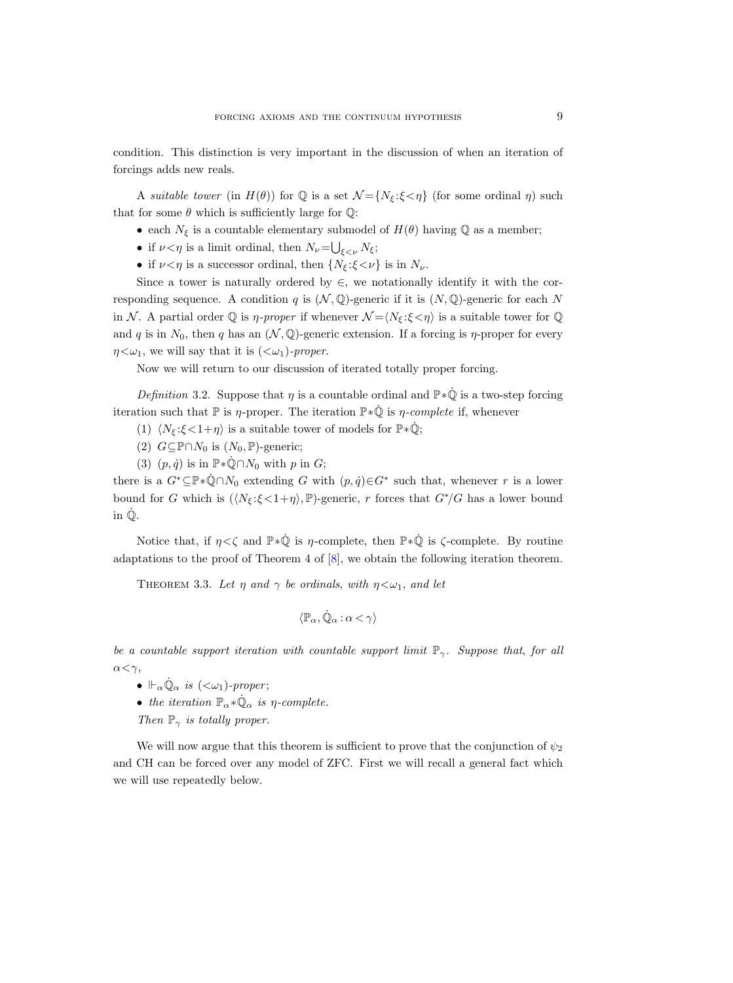condition. This distinction is very important in the discussion of when an iteration of forcings adds new reals.

A suitable tower (in  $H(\theta)$ ) for  $\mathbb Q$  is a set  $\mathcal N = \{N_{\xi} : \xi < \eta\}$  (for some ordinal  $\eta$ ) such that for some  $\theta$  which is sufficiently large for  $\mathbb{Q}$ :

- each  $N_{\xi}$  is a countable elementary submodel of  $H(\theta)$  having  $\mathbb Q$  as a member;
- if  $\nu < \eta$  is a limit ordinal, then  $N_{\nu} = \bigcup_{\xi < \nu} N_{\xi};$
- if  $\nu < \eta$  is a successor ordinal, then  $\{N_{\xi} : \xi < \nu\}$  is in  $N_{\nu}$ .

Since a tower is naturally ordered by  $\in$ , we notationally identify it with the corresponding sequence. A condition q is  $(\mathcal{N}, \mathbb{Q})$ -generic if it is  $(N, \mathbb{Q})$ -generic for each N in N. A partial order  $\mathbb Q$  is  $\eta$ -proper if whenever  $\mathcal N = \langle N_{\xi} : \xi \langle \eta \rangle$  is a suitable tower for  $\mathbb Q$ and q is in  $N_0$ , then q has an  $(\mathcal{N}, \mathbb{Q})$ -generic extension. If a forcing is  $\eta$ -proper for every  $\eta \langle \omega_1$ , we will say that it is  $(\langle \omega_1 \rangle$ -proper.

Now we will return to our discussion of iterated totally proper forcing.

<span id="page-8-2"></span>Definition 3.2. Suppose that  $\eta$  is a countable ordinal and  $\mathbb{P} * \dot{\mathbb{Q}}$  is a two-step forcing iteration such that  $\mathbb P$  is  $\eta$ -proper. The iteration  $\mathbb P * \dot{\mathbb Q}$  is  $\eta$ -complete if, whenever

- (1)  $\langle N_{\xi} : \xi < 1 + \eta \rangle$  is a suitable tower of models for  $\mathbb{P} * \dot{\mathbb{Q}}$ ;
- (2)  $G \subseteq \mathbb{P} \cap N_0$  is  $(N_0, \mathbb{P})$ -generic;
- (3)  $(p, \dot{q})$  is in  $\mathbb{P} * \dot{\mathbb{Q}} \cap N_0$  with p in G;

there is a  $G^* \subseteq \mathbb{P} * \dot{\mathbb{Q}} \cap N_0$  extending G with  $(p, \dot{q}) \in G^*$  such that, whenever r is a lower bound for G which is  $(\langle N_{\xi}:\xi<1+\eta\rangle, \mathbb{P})$ -generic, r forces that  $G^*/G$  has a lower bound in Q˙ .

Notice that, if  $\eta < \zeta$  and  $\mathbb{P} * \dot{\mathbb{Q}}$  is  $\eta$ -complete, then  $\mathbb{P} * \dot{\mathbb{Q}}$  is  $\zeta$ -complete. By routine adaptations to the proof of Theorem 4 of [\[8\]](#page-27-4), we obtain the following iteration theorem.

<span id="page-8-0"></span>THEOREM 3.3. Let  $\eta$  and  $\gamma$  be ordinals, with  $\eta \lt \omega_1$ , and let

$$
\langle \mathbb P_\alpha, \dot{\mathbb Q}_\alpha \, \mathbf{:}\, \alpha < \gamma \rangle
$$

be a countable support iteration with countable support limit  $\mathbb{P}_{\gamma}$ . Suppose that, for all  $\alpha < \gamma$ ,

- $\Vdash_{\alpha}\dot{\mathbb{Q}}_{\alpha}$  is  $(<\omega_1$ )-proper;
- the iteration  $\mathbb{P}_{\alpha} * \dot{\mathbb{Q}}_{\alpha}$  is  $\eta$ -complete.
- Then  $\mathbb{P}_{\gamma}$  is totally proper.

<span id="page-8-1"></span>We will now argue that this theorem is sufficient to prove that the conjunction of  $\psi_2$ and CH can be forced over any model of ZFC. First we will recall a general fact which we will use repeatedly below.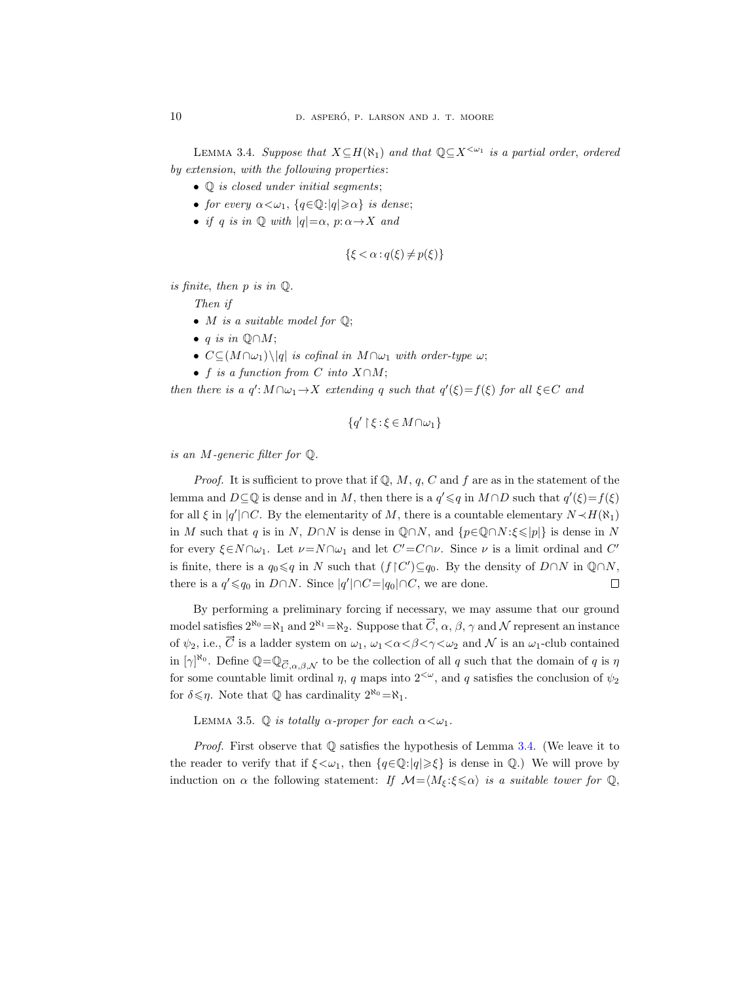LEMMA 3.4. Suppose that  $X \subseteq H(\aleph_1)$  and that  $\mathbb{Q} \subseteq X^{\leq \omega_1}$  is a partial order, ordered by extension, with the following properties:

- $\mathbb Q$  is closed under initial segments;
- for every  $\alpha < \omega_1$ ,  $\{q \in \mathbb{Q} : |q| \geq \alpha\}$  is dense;
- if q is in  $\mathbb Q$  with  $|q|=\alpha$ ,  $p:\alpha\to X$  and

$$
\{\xi < \alpha : q(\xi) \neq p(\xi)\}
$$

is finite, then p is in Q.

- Then if
- *M* is a suitable model for  $\mathbb{Q}$ ;
- q is in  $\mathbb{Q} \cap M$ ;
- $C \subseteq (M \cap \omega_1) \setminus |q|$  is cofinal in  $M \cap \omega_1$  with order-type  $\omega$ ;
- f is a function from C into  $X \cap M$ ;

then there is a  $q' : M \cap \omega_1 \to X$  extending q such that  $q'(\xi) = f(\xi)$  for all  $\xi \in C$  and

$$
\{q'\upharpoonright\xi:\xi\in M\cap\omega_1\}
$$

is an M-generic filter for Q.

*Proof.* It is sufficient to prove that if  $\mathbb{Q}, M, q, C$  and f are as in the statement of the lemma and  $D \subseteq \mathbb{Q}$  is dense and in M, then there is a  $q' \leq q$  in  $M \cap D$  such that  $q'(\xi) = f(\xi)$ for all  $\xi$  in  $|q'|\cap C$ . By the elementarity of M, there is a countable elementary  $N \prec H(\aleph_1)$ in M such that q is in N, D∩N is dense in  $\mathbb{Q} \cap N$ , and  $\{p \in \mathbb{Q} \cap N : \xi \leqslant |p|\}$  is dense in N for every  $\xi \in N \cap \omega_1$ . Let  $\nu = N \cap \omega_1$  and let  $C' = C \cap \nu$ . Since  $\nu$  is a limit ordinal and  $C'$ is finite, there is a  $q_0 \leq q$  in N such that  $(f \nvert C') \subseteq q_0$ . By the density of  $D \cap N$  in  $\mathbb{Q} \cap N$ , there is a  $q' \leq q_0$  in  $D \cap N$ . Since  $|q'| \cap C = |q_0| \cap C$ , we are done.  $\Box$ 

By performing a preliminary forcing if necessary, we may assume that our ground model satisfies  $2^{\aleph_0} = \aleph_1$  and  $2^{\aleph_1} = \aleph_2$ . Suppose that  $\overrightarrow{C}$ ,  $\alpha$ ,  $\beta$ ,  $\gamma$  and  $\mathcal N$  represent an instance of  $\psi_2$ , i.e.,  $\vec{C}$  is a ladder system on  $\omega_1$ ,  $\omega_1 < \alpha < \beta < \gamma < \omega_2$  and  $\mathcal N$  is an  $\omega_1$ -club contained in  $[\gamma]^{\aleph_0}$ . Define  $\mathbb{Q} = \mathbb{Q}_{\vec{C},\alpha,\beta,\mathcal{N}}$  to be the collection of all q such that the domain of q is  $\eta$ for some countable limit ordinal  $\eta$ , q maps into  $2^{<\omega}$ , and q satisfies the conclusion of  $\psi_2$ for  $\delta \leq \eta$ . Note that  $\mathbb Q$  has cardinality  $2^{\aleph_0} = \aleph_1$ .

<span id="page-9-0"></span>LEMMA 3.5.  $\mathbb Q$  is totally  $\alpha$ -proper for each  $\alpha < \omega_1$ .

*Proof.* First observe that  $\mathbb Q$  satisfies the hypothesis of Lemma [3.4.](#page-8-1) (We leave it to the reader to verify that if  $\xi \leq \omega_1$ , then  $\{q \in \mathbb{Q}: |q| \geq \xi\}$  is dense in  $\mathbb{Q}$ .) We will prove by induction on  $\alpha$  the following statement: If  $\mathcal{M} = \langle M_{\xi} : \xi \leq \alpha \rangle$  is a suitable tower for  $\mathbb{Q}$ ,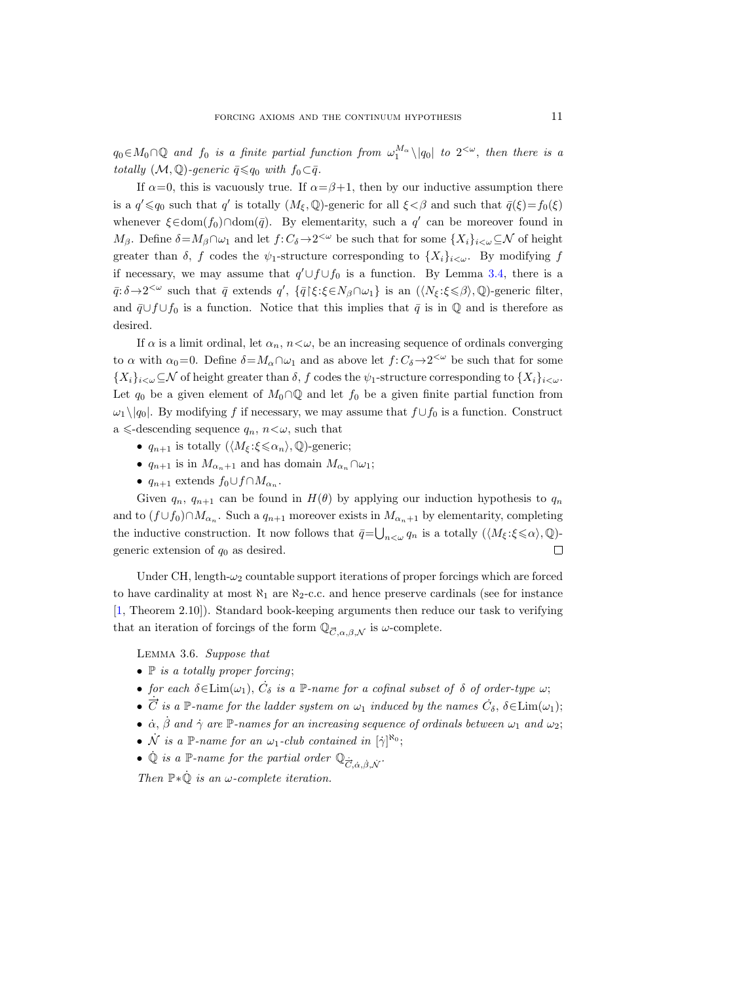$q_0 \in M_0 \cap \mathbb{Q}$  and  $f_0$  is a finite partial function from  $\omega_1^{M_\alpha} \setminus |q_0|$  to  $2^{<\omega}$ , then there is a totally  $(M, \mathbb{Q})$ -generic  $\bar{q} \leq q_0$  with  $f_0 \subset \bar{q}$ .

If  $\alpha=0$ , this is vacuously true. If  $\alpha=\beta+1$ , then by our inductive assumption there is a  $q' \leq q_0$  such that q' is totally  $(M_{\xi}, \mathbb{Q})$ -generic for all  $\xi < \beta$  and such that  $\bar{q}(\xi) = f_0(\xi)$ whenever  $\xi \in \text{dom}(f_0) \cap \text{dom}(\overline{q})$ . By elementarity, such a  $q'$  can be moreover found in  $M_{\beta}$ . Define  $\delta = M_{\beta} \cap \omega_1$  and let  $f: C_{\delta} \to 2^{<\omega}$  be such that for some  $\{X_i\}_{i<\omega} \subseteq \mathcal{N}$  of height greater than  $\delta$ , f codes the  $\psi_1$ -structure corresponding to  $\{X_i\}_{i\leq \omega}$ . By modifying f if necessary, we may assume that  $q' \cup f \cup f_0$  is a function. By Lemma [3.4,](#page-8-1) there is a  $\bar{q}$ :  $\delta \rightarrow 2^{\lt}\omega$  such that  $\bar{q}$  extends  $q'$ ,  $\{\bar{q}\}$  ( $\xi$ : $\xi \in N_\beta \cap \omega_1\}$  is an  $(\langle N_\xi: \xi \leq \beta \rangle, \mathbb{Q})$ -generic filter, and  $\bar{q} \cup f \cup f_0$  is a function. Notice that this implies that  $\bar{q}$  is in  $\mathbb Q$  and is therefore as desired.

If  $\alpha$  is a limit ordinal, let  $\alpha_n$ ,  $n \lt \omega$ , be an increasing sequence of ordinals converging to  $\alpha$  with  $\alpha_0=0$ . Define  $\delta=M_\alpha\cap\omega_1$  and as above let  $f: C_\delta\to 2^{&\omega}$  be such that for some  ${X_i}_{i\leq \omega} \subseteq \mathcal{N}$  of height greater than  $\delta$ , f codes the  $\psi_1$ -structure corresponding to  ${X_i}_{i\leq \omega}$ . Let  $q_0$  be a given element of  $M_0 \cap \mathbb{Q}$  and let  $f_0$  be a given finite partial function from  $\omega_1 \setminus |q_0|$ . By modifying f if necessary, we may assume that  $f \cup f_0$  is a function. Construct a  $\leq$ -descending sequence  $q_n$ ,  $n<\omega$ , such that

- $q_{n+1}$  is totally  $(\langle M_{\xi} : \xi \leq \alpha_n \rangle, \mathbb{Q})$ -generic;
- $q_{n+1}$  is in  $M_{\alpha_n+1}$  and has domain  $M_{\alpha_n} \cap \omega_1$ ;
- $q_{n+1}$  extends  $f_0 \cup f \cap M_{\alpha_n}$ .

Given  $q_n$ ,  $q_{n+1}$  can be found in  $H(\theta)$  by applying our induction hypothesis to  $q_n$ and to  $(f \cup f_0) \cap M_{\alpha_n}$ . Such a  $q_{n+1}$  moreover exists in  $M_{\alpha_n+1}$  by elementarity, completing the inductive construction. It now follows that  $\bar{q} = \bigcup_{n < \omega} q_n$  is a totally  $(\langle M_{\xi} : \xi \leq \alpha \rangle, \mathbb{Q})$ generic extension of  $q_0$  as desired.  $\Box$ 

Under CH, length- $\omega_2$  countable support iterations of proper forcings which are forced to have cardinality at most  $\aleph_1$  are  $\aleph_2$ -c.c. and hence preserve cardinals (see for instance [\[1,](#page-27-10) Theorem 2.10]). Standard book-keeping arguments then reduce our task to verifying that an iteration of forcings of the form  $\mathbb{Q}_{\vec{C},\alpha,\beta,\mathcal{N}}$  is  $\omega$ -complete.

<span id="page-10-0"></span>Lemma 3.6. Suppose that

- $\n **P**$  is a totally proper forcing;
- for each  $\delta \in \text{Lim}(\omega_1)$ ,  $\dot{C}_\delta$  is a P-name for a cofinal subset of  $\delta$  of order-type  $\omega$ ;
- $\vec{C}$  is a P-name for the ladder system on  $\omega_1$  induced by the names  $\vec{C}_\delta$ ,  $\delta \in \text{Lim}(\omega_1)$ ;
- $\dot{\alpha}$ ,  $\dot{\beta}$  and  $\dot{\gamma}$  are P-names for an increasing sequence of ordinals between  $\omega_1$  and  $\omega_2$ ;
- $\dot{\mathcal{N}}$  is a P-name for an  $\omega_1$ -club contained in  $[\dot{\gamma}]^{\aleph_0}$ ;
- $\dot{\mathbb{Q}}$  is a  $\mathbb{P}\text{-name for the partial order } \mathbb{Q}_{\dot{\vec{C}}, \dot{\alpha}, \dot{\beta}, \dot{\mathcal{N}}}.$

Then  $\mathbb{P} * \dot{\mathbb{Q}}$  is an  $\omega$ -complete iteration.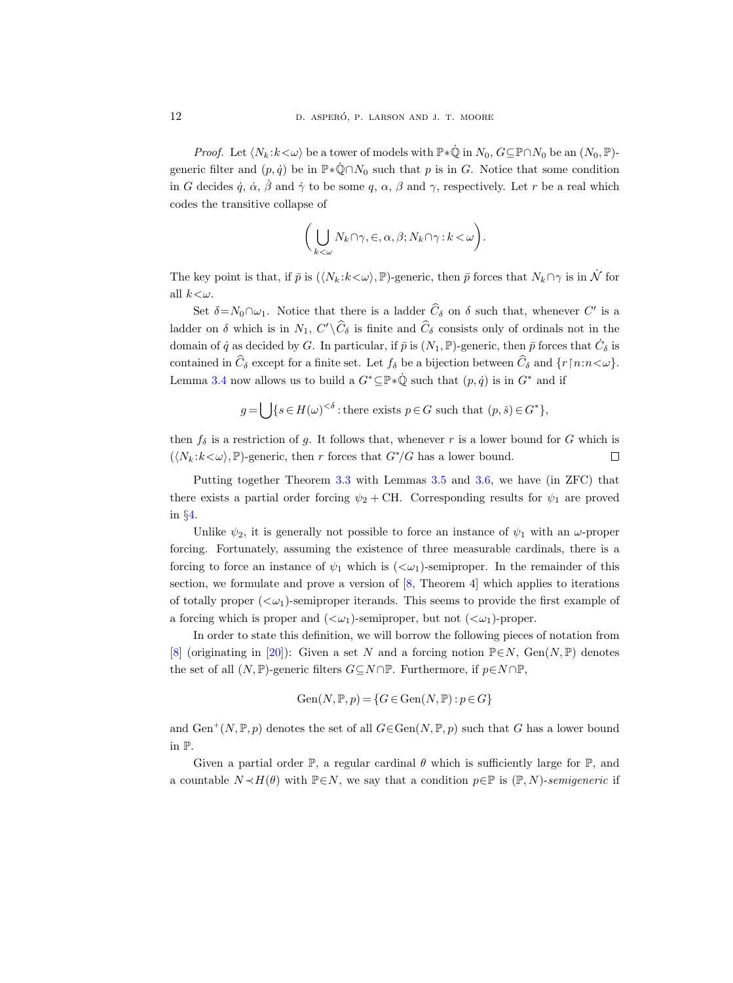*Proof.* Let  $\langle N_k : k < \omega \rangle$  be a tower of models with  $\mathbb{P} * \dot{\mathbb{Q}}$  in  $N_0$ ,  $G \subseteq \mathbb{P} \cap N_0$  be an  $(N_0, \mathbb{P})$ generic filter and  $(p, \dot{q})$  be in  $\mathbb{P} * \dot{\mathbb{Q}} \cap N_0$  such that p is in G. Notice that some condition in G decides  $\dot{q}$ ,  $\dot{\alpha}$ ,  $\dot{\beta}$  and  $\dot{\gamma}$  to be some q,  $\alpha$ ,  $\beta$  and  $\gamma$ , respectively. Let r be a real which codes the transitive collapse of

$$
\bigg(\bigcup_{k<\omega}N_k\cap\gamma,\in,\alpha,\beta;N_k\cap\gamma:k<\omega\bigg).
$$

The key point is that, if  $\bar{p}$  is  $(\langle N_k : k < \omega \rangle, \mathbb{P})$ -generic, then  $\bar{p}$  forces that  $N_k \cap \gamma$  is in  $\dot{\mathcal{N}}$  for all  $k<\omega$ .

Set  $\delta = N_0 \cap \omega_1$ . Notice that there is a ladder  $\hat{C}_\delta$  on  $\delta$  such that, whenever C' is a ladder on  $\delta$  which is in  $N_1$ ,  $C' \backslash C_{\delta}$  is finite and  $C_{\delta}$  consists only of ordinals not in the domain of  $\dot{q}$  as decided by G. In particular, if  $\bar{p}$  is  $(N_1, \mathbb{P})$ -generic, then  $\bar{p}$  forces that  $\dot{C}_\delta$  is contained in  $\widehat{C}_{\delta}$  except for a finite set. Let  $f_{\delta}$  be a bijection between  $\widehat{C}_{\delta}$  and  $\{r \mid n:n<\omega\}$ . Lemma [3.4](#page-8-1) now allows us to build a  $G^* \subseteq \mathbb{P} * \dot{\mathbb{Q}}$  such that  $(p, \dot{q})$  is in  $G^*$  and if

$$
g = \bigcup \{ s \in H(\omega)^{<\delta} : \text{there exists } p \in G \text{ such that } (p, \check{s}) \in G^* \},
$$

then  $f_{\delta}$  is a restriction of g. It follows that, whenever r is a lower bound for G which is  $(\langle N_k : k < \omega \rangle, \mathbb{P})$ -generic, then r forces that  $G^*/G$  has a lower bound.  $\Box$ 

Putting together Theorem [3.3](#page-8-0) with Lemmas [3.5](#page-9-0) and [3.6,](#page-10-0) we have (in ZFC) that there exists a partial order forcing  $\psi_2$  + CH. Corresponding results for  $\psi_1$  are proved in §[4.](#page-18-0)

Unlike  $\psi_2$ , it is generally not possible to force an instance of  $\psi_1$  with an  $\omega$ -proper forcing. Fortunately, assuming the existence of three measurable cardinals, there is a forcing to force an instance of  $\psi_1$  which is  $( $\omega_1$ )-semiproper. In the remainder of this$ section, we formulate and prove a version of  $[8,$  Theorem 4 which applies to iterations of totally proper  $( $\omega_1$ )-semiproper iterands. This seems to provide the first example of$ a forcing which is proper and  $( $\omega_1$ )-semiproper, but not  $( $\omega_1$ )-proper.$$ 

In order to state this definition, we will borrow the following pieces of notation from [\[8\]](#page-27-4) (originating in [\[20\]](#page-28-3)): Given a set N and a forcing notion  $\mathbb{P}\in\mathbb{N}$ , Gen(N,  $\mathbb{P}$ ) denotes the set of all  $(N, \mathbb{P})$ -generic filters  $G\subseteq N\cap \mathbb{P}$ . Furthermore, if  $p\in N\cap \mathbb{P}$ ,

Gen
$$
(N, \mathbb{P}, p) = \{G \in Gen(N, \mathbb{P}) : p \in G\}
$$

and  $\text{Gen}^+(N, \mathbb{P}, p)$  denotes the set of all  $G \in \text{Gen}(N, \mathbb{P}, p)$  such that G has a lower bound in P.

Given a partial order  $\mathbb{P}$ , a regular cardinal  $\theta$  which is sufficiently large for  $\mathbb{P}$ , and a countable  $N \prec H(\theta)$  with  $\mathbb{P} \in N$ , we say that a condition  $p \in \mathbb{P}$  is  $(\mathbb{P}, N)$ -semigeneric if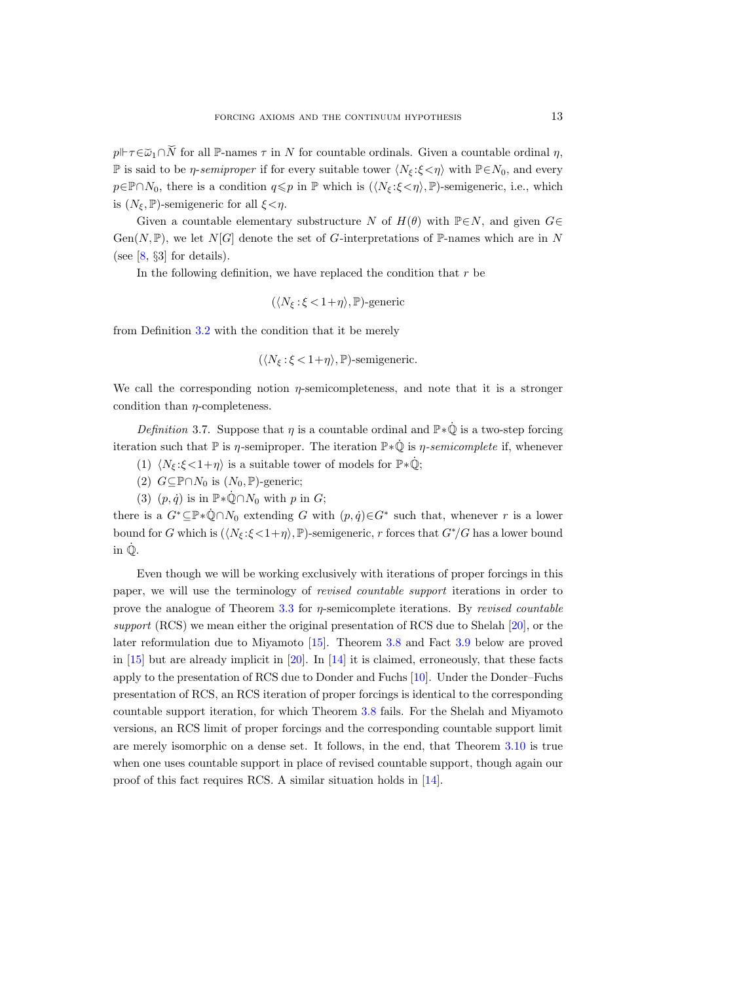$p \Vdash \tau \in \check{\omega}_1 \cap \check{N}$  for all P-names  $\tau$  in N for countable ordinals. Given a countable ordinal  $\eta$ , P is said to be *η-semiproper* if for every suitable tower  $\langle N_{\xi} : \xi < \eta \rangle$  with  $\mathbb{P} \in N_0$ , and every  $p \in \mathbb{P} \cap N_0$ , there is a condition  $q \leq p$  in  $\mathbb{P}$  which is  $(\langle N_{\xi} : \xi < \eta \rangle, \mathbb{P})$ -semigeneric, i.e., which is  $(N_{\xi}, \mathbb{P})$ -semigeneric for all  $\xi < \eta$ .

Given a countable elementary substructure N of  $H(\theta)$  with  $\mathbb{P} \in N$ , and given  $G \in$  $Gen(N, \mathbb{P})$ , we let  $N[G]$  denote the set of G-interpretations of P-names which are in N (see  $[8, §3]$  $[8, §3]$  for details).

In the following definition, we have replaced the condition that  $r$  be

$$
(\langle N_{\xi}:\xi<1+\eta\rangle,\mathbb{P})\text{-generic}
$$

from Definition [3.2](#page-8-2) with the condition that it be merely

 $(\langle N_{\xi} : \xi < 1+\eta \rangle, \mathbb{P})$ -semigeneric.

We call the corresponding notion  $\eta$ -semicompleteness, and note that it is a stronger condition than  $\eta$ -completeness.

Definition 3.7. Suppose that  $\eta$  is a countable ordinal and  $\mathbb{P} * \dot{\mathbb{Q}}$  is a two-step forcing iteration such that  $\mathbb P$  is  $\eta$ -semiproper. The iteration  $\mathbb P * \dot{\mathbb Q}$  is  $\eta$ -semicomplete if, whenever

- (1)  $\langle N_{\xi} : \xi < 1 + \eta \rangle$  is a suitable tower of models for  $\mathbb{P} * \dot{\mathbb{Q}}$ ;
- (2)  $G \subseteq \mathbb{P} \cap N_0$  is  $(N_0, \mathbb{P})$ -generic;
- (3)  $(p, \dot{q})$  is in  $\mathbb{P} * \dot{\mathbb{Q}} \cap N_0$  with p in G;

there is a  $G^* \subseteq \mathbb{P} * \dot{\mathbb{Q}} \cap N_0$  extending G with  $(p, \dot{q}) \in G^*$  such that, whenever r is a lower bound for G which is  $(\langle N_{\xi}:\xi<1+\eta\rangle, \mathbb{P})$ -semigeneric, r forces that  $G^*/G$  has a lower bound in  $\dot{\mathbb{Q}}$ .

Even though we will be working exclusively with iterations of proper forcings in this paper, we will use the terminology of revised countable support iterations in order to prove the analogue of Theorem [3.3](#page-8-0) for  $\eta$ -semicomplete iterations. By *revised countable* support (RCS) we mean either the original presentation of RCS due to Shelah [\[20\]](#page-28-3), or the later reformulation due to Miyamoto [\[15\]](#page-28-6). Theorem [3.8](#page-13-1) and Fact [3.9](#page-13-2) below are proved in  $[15]$  but are already implicit in  $[20]$ . In  $[14]$  it is claimed, erroneously, that these facts apply to the presentation of RCS due to Donder and Fuchs [\[10\]](#page-27-11). Under the Donder–Fuchs presentation of RCS, an RCS iteration of proper forcings is identical to the corresponding countable support iteration, for which Theorem [3.8](#page-13-1) fails. For the Shelah and Miyamoto versions, an RCS limit of proper forcings and the corresponding countable support limit are merely isomorphic on a dense set. It follows, in the end, that Theorem [3.10](#page-13-0) is true when one uses countable support in place of revised countable support, though again our proof of this fact requires RCS. A similar situation holds in [\[14\]](#page-28-4).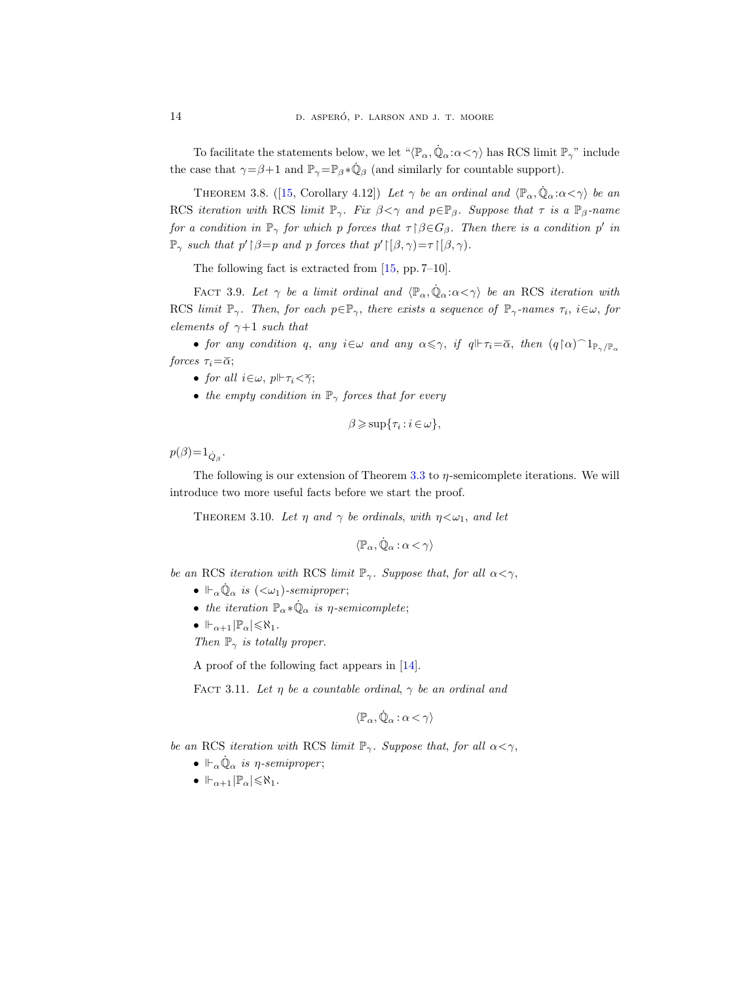To facilitate the statements below, we let  $\langle \mathbb{P}_{\alpha}, \dot{\mathbb{Q}}_{\alpha} : \alpha < \gamma \rangle$  has RCS limit  $\mathbb{P}_{\gamma}$ " include the case that  $\gamma = \beta + 1$  and  $\mathbb{P}_{\gamma} = \mathbb{P}_{\beta} * \dot{\mathbb{Q}}_{\beta}$  (and similarly for countable support).

<span id="page-13-1"></span>THEOREM 3.8. ([\[15,](#page-28-6) Corollary 4.12]) Let  $\gamma$  be an ordinal and  $\langle \mathbb{P}_{\alpha}, \dot{\mathbb{Q}}_{\alpha} : \alpha < \gamma \rangle$  be an RCS iteration with RCS limit  $\mathbb{P}_{\gamma}$ . Fix  $\beta < \gamma$  and  $p \in \mathbb{P}_{\beta}$ . Suppose that  $\tau$  is a  $\mathbb{P}_{\beta}$ -name for a condition in  $\mathbb{P}_\gamma$  for which p forces that  $\tau \upharpoonright \beta \in G_\beta$ . Then there is a condition p' in  $\mathbb{P}_{\gamma}$  such that  $p' \upharpoonright \beta = p$  and p forces that  $p' \upharpoonright [\beta, \gamma) = \tau \upharpoonright [\beta, \gamma)$ .

The following fact is extracted from [\[15,](#page-28-6) pp. 7–10].

<span id="page-13-2"></span>FACT 3.9. Let  $\gamma$  be a limit ordinal and  $\langle \mathbb{P}_{\alpha}, \dot{\mathbb{Q}}_{\alpha} : \alpha \langle \gamma \rangle$  be an RCS iteration with RCS limit  $\mathbb{P}_{\gamma}$ . Then, for each  $p \in \mathbb{P}_{\gamma}$ , there exists a sequence of  $\mathbb{P}_{\gamma}$ -names  $\tau_i$ ,  $i \in \omega$ , for elements of  $\gamma+1$  such that

• for any condition q, any  $i \in \omega$  and any  $\alpha \leq \gamma$ , if  $q \Vdash \tau_i = \widetilde{\alpha}$ , then  $(q \upharpoonright \alpha) \supset \mathbb{1}_{\mathbb{P}_\gamma/\mathbb{P}_\alpha}$ forces  $\tau_i = \tilde{\alpha};$ 

- for all  $i \in \omega$ ,  $p \Vdash \tau_i < \tilde{\gamma}$ ;
- the empty condition in  $\mathbb{P}_{\gamma}$  forces that for every

$$
\beta \geqslant \sup\{\tau_i : i \in \omega\},\
$$

 $p(\beta) = 1_{\dot{Q}_{\beta}}$ .

The following is our extension of Theorem [3.3](#page-8-0) to η-semicomplete iterations. We will introduce two more useful facts before we start the proof.

<span id="page-13-0"></span>THEOREM 3.10. Let  $\eta$  and  $\gamma$  be ordinals, with  $\eta < \omega_1$ , and let

$$
\langle \mathbb P_\alpha, \dot{\mathbb Q}_\alpha \, \mathbf{:}\, \alpha < \gamma \rangle
$$

be an RCS iteration with RCS limit  $\mathbb{P}_{\gamma}$ . Suppose that, for all  $\alpha < \gamma$ ,

- $\Vdash_{\alpha}\dot{\mathbb{Q}}_{\alpha}$  is  $(<\omega_1$ )-semiproper;
- the iteration  $\mathbb{P}_{\alpha} * \dot{\mathbb{Q}}_{\alpha}$  is  $\eta$ -semicomplete;
- $\mathbb{H}_{\alpha+1}$   $\mathbb{P}_{\alpha}$   $\leq \aleph_1$ .

Then  $\mathbb{P}_{\gamma}$  is totally proper.

A proof of the following fact appears in [\[14\]](#page-28-4).

<span id="page-13-3"></span>FACT 3.11. Let  $\eta$  be a countable ordinal,  $\gamma$  be an ordinal and

$$
\langle \mathbb P_\alpha, \dot{\mathbb Q}_\alpha \, \mathbf{:}\, \alpha < \gamma \rangle
$$

be an RCS iteration with RCS limit  $\mathbb{P}_{\gamma}$ . Suppose that, for all  $\alpha < \gamma$ ,

- $\mathcal{L}_{\alpha} \dot{\mathbb{Q}}_{\alpha}$  is *η*-semiproper;
- $\mathbb{H}_{\alpha+1}$  $\mathbb{P}_{\alpha}$  $\leq \aleph_1$ .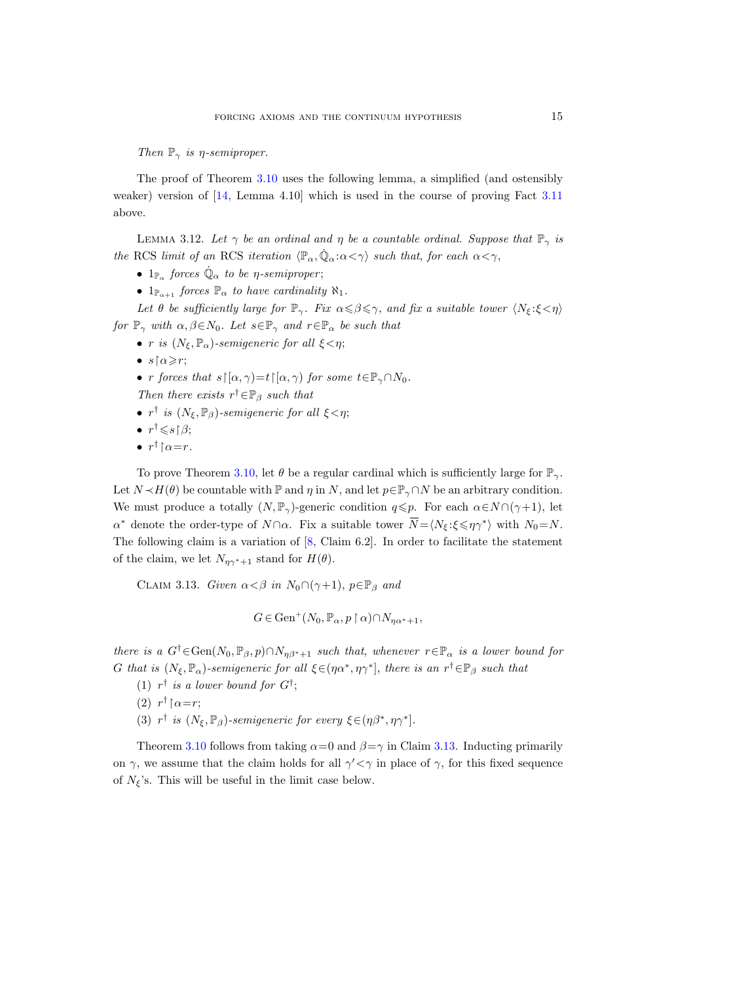Then  $\mathbb{P}_{\gamma}$  is  $\eta$ -semiproper.

The proof of Theorem [3.10](#page-13-0) uses the following lemma, a simplified (and ostensibly weaker) version of [\[14,](#page-28-4) Lemma 4.10] which is used in the course of proving Fact [3.11](#page-13-3) above.

<span id="page-14-1"></span>LEMMA 3.12. Let  $\gamma$  be an ordinal and  $\eta$  be a countable ordinal. Suppose that  $\mathbb{P}_{\gamma}$  is the RCS limit of an RCS iteration  $\langle \mathbb{P}_{\alpha}, \dot{\mathbb{Q}}_{\alpha} : \alpha < \gamma \rangle$  such that, for each  $\alpha < \gamma$ ,

- $1_{\mathbb{P}_{\alpha}}$  forces  $\dot{\mathbb{Q}}_{\alpha}$  to be *η*-semiproper;
- $1_{\mathbb{P}_{\alpha+1}}$  forces  $\mathbb{P}_{\alpha}$  to have cardinality  $\aleph_1$ .

Let  $\theta$  be sufficiently large for  $\mathbb{P}_{\gamma}$ . Fix  $\alpha \leq \beta \leq \gamma$ , and fix a suitable tower  $\langle N_{\xi} : \xi \leq \eta \rangle$ for  $\mathbb{P}_{\gamma}$  with  $\alpha, \beta \in N_0$ . Let  $s \in \mathbb{P}_{\gamma}$  and  $r \in \mathbb{P}_{\alpha}$  be such that

• r is  $(N_{\xi}, \mathbb{P}_{\alpha})$ -semigeneric for all  $\xi < \eta$ ;

- $s \upharpoonright \alpha \geq r$ ;
- r forces that  $s\upharpoonright[\alpha,\gamma)=t\upharpoonright[\alpha,\gamma]$  for some  $t\in\mathbb{P}_{\gamma}\cap N_0$ .

Then there exists  $r^{\dagger} \in \mathbb{P}_{\beta}$  such that

- $r^{\dagger}$  is  $(N_{\xi}, \mathbb{P}_{\beta})$ -semigeneric for all  $\xi < \eta$ ;
- $\bullet$   $r^{\dagger} \leqslant s {\upharpoonright} \beta;$
- $r^{\dagger} \upharpoonright \alpha = r$ .

To prove Theorem [3.10,](#page-13-0) let  $\theta$  be a regular cardinal which is sufficiently large for  $\mathbb{P}_{\gamma}$ . Let  $N \prec H(\theta)$  be countable with  $\mathbb P$  and  $\eta$  in N, and let  $p \in \mathbb P_\gamma \cap N$  be an arbitrary condition. We must produce a totally  $(N, \mathbb{P}_{\gamma})$ -generic condition  $q \leq p$ . For each  $\alpha \in N \cap (\gamma + 1)$ , let  $\alpha^*$  denote the order-type of  $N \cap \alpha$ . Fix a suitable tower  $\overline{N} = \langle N_{\xi} : \xi \leqslant \eta \gamma^* \rangle$  with  $N_0 = N$ . The following claim is a variation of [\[8,](#page-27-4) Claim 6.2]. In order to facilitate the statement of the claim, we let  $N_{\eta\gamma^*+1}$  stand for  $H(\theta)$ .

<span id="page-14-0"></span>CLAIM 3.13. Given  $\alpha < \beta$  in  $N_0 \cap (\gamma + 1)$ ,  $p \in \mathbb{P}_{\beta}$  and

$$
G \in \text{Gen}^+(N_0, \mathbb{P}_\alpha, p \restriction \alpha) \cap N_{\eta\alpha^*+1},
$$

there is a  $G^{\dagger} \in \text{Gen}(N_0, \mathbb{P}_{\beta}, p) \cap N_{\eta\beta^*+1}$  such that, whenever  $r \in \mathbb{P}_{\alpha}$  is a lower bound for G that is  $(N_{\xi}, \mathbb{P}_{\alpha})$ -semigeneric for all  $\xi \in (\eta \alpha^*, \eta \gamma^*]$ , there is an  $r^{\dagger} \in \mathbb{P}_{\beta}$  such that

- (1)  $r^{\dagger}$  is a lower bound for  $G^{\dagger}$ ;
- (2)  $r^{\dagger}$  |  $\alpha = r$ ;
- (3)  $r^{\dagger}$  is  $(N_{\xi}, \mathbb{P}_{\beta})$ -semigeneric for every  $\xi \in (\eta \beta^*, \eta \gamma^*].$

<span id="page-14-2"></span>Theorem [3.10](#page-13-0) follows from taking  $\alpha=0$  and  $\beta=\gamma$  in Claim [3.13.](#page-14-0) Inducting primarily on  $\gamma$ , we assume that the claim holds for all  $\gamma' < \gamma$  in place of  $\gamma$ , for this fixed sequence of  $N_{\xi}$ 's. This will be useful in the limit case below.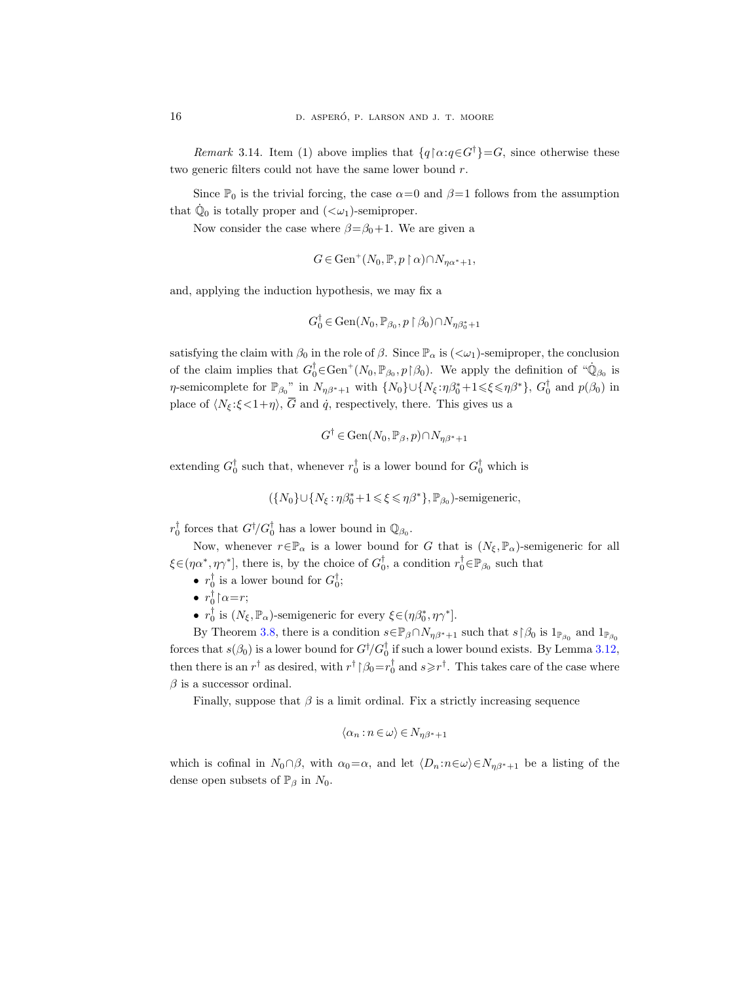Remark 3.14. Item (1) above implies that  ${q \mid \alpha: q \in G^{\dagger} = G}$ , since otherwise these two generic filters could not have the same lower bound  $r$ .

Since  $\mathbb{P}_0$  is the trivial forcing, the case  $\alpha=0$  and  $\beta=1$  follows from the assumption that  $\dot{\mathbb{Q}}_0$  is totally proper and  $( $\omega_1$ )-semiproper.$ 

Now consider the case where  $\beta = \beta_0 + 1$ . We are given a

$$
G \in \text{Gen}^+(N_0, \mathbb{P}, p \restriction \alpha) \cap N_{\eta\alpha^*+1},
$$

and, applying the induction hypothesis, we may fix a

$$
G_0^{\dagger} \in \text{Gen}(N_0, \mathbb{P}_{\beta_0}, p \restriction \beta_0) \cap N_{\eta \beta_0^* + 1}
$$

satisfying the claim with  $\beta_0$  in the role of  $\beta$ . Since  $\mathbb{P}_{\alpha}$  is  $( $\omega_1$ )-semiproper, the conclusion$ of the claim implies that  $G_0^{\dagger} \in \text{Gen}^+(N_0, \mathbb{P}_{\beta_0}, p \restriction \beta_0)$ . We apply the definition of " $\dot{\mathbb{Q}}_{\beta_0}$  is η-semicomplete for  $\mathbb{P}_{\beta_0}$ " in  $N_{\eta\beta^*+1}$  with  $\{N_0\}\cup\{N_\xi:\eta\beta_0^*+1\leqslant \xi\leqslant \eta\beta^*\}$ ,  $G_0^{\dagger}$  and  $p(\beta_0)$  in place of  $\langle N_{\xi}:\xi\!<\!1+\eta\rangle$ ,  $\overline{G}$  and  $\dot{q}$ , respectively, there. This gives us a

$$
G^{\dagger} \in \text{Gen}(N_0, \mathbb{P}_{\beta}, p) \cap N_{\eta \beta^* + 1}
$$

extending  $G_0^{\dagger}$  such that, whenever  $r_0^{\dagger}$  is a lower bound for  $G_0^{\dagger}$  which is

$$
(\{N_0\}\cup\{N_\xi:\eta\beta_0^*+1\leqslant\xi\leqslant\eta\beta^*\},\mathbb{P}_{\beta_0})\text{-semigeneric},
$$

 $r_0^{\dagger}$  forces that  $G^{\dagger}/G_0^{\dagger}$  has a lower bound in  $\mathbb{Q}_{\beta_0}$ .

Now, whenever  $r \in \mathbb{P}_{\alpha}$  is a lower bound for G that is  $(N_{\xi}, \mathbb{P}_{\alpha})$ -semigeneric for all  $\xi \in (\eta \alpha^*, \eta \gamma^*]$ , there is, by the choice of  $G_0^{\dagger}$ , a condition  $r_0^{\dagger} \in \mathbb{P}_{\beta_0}$  such that

- $r_0^{\dagger}$  is a lower bound for  $G_0^{\dagger}$ ;
- $r_0^{\dagger} \upharpoonright \alpha = r;$
- $r_0^{\dagger}$  is  $(N_{\xi}, \mathbb{P}_{\alpha})$ -semigeneric for every  $\xi \in (\eta \beta_0^*, \eta \gamma^*]$ .

By Theorem [3.8,](#page-13-1) there is a condition  $s \in \mathbb{P}_{\beta} \cap N_{\eta\beta^*+1}$  such that  $s \upharpoonright \beta_0$  is  $1_{\mathbb{P}_{\beta_0}}$  and  $1_{\mathbb{P}_{\beta_0}}$ forces that  $s(\beta_0)$  is a lower bound for  $G^{\dagger}/G_0^{\dagger}$  if such a lower bound exists. By Lemma [3.12,](#page-14-1) then there is an  $r^{\dagger}$  as desired, with  $r^{\dagger}$  |  $\beta_0 = r_0^{\dagger}$  and  $s \geq r^{\dagger}$ . This takes care of the case where  $\beta$  is a successor ordinal.

Finally, suppose that  $\beta$  is a limit ordinal. Fix a strictly increasing sequence

$$
\langle \alpha_n : n \in \omega \rangle \in N_{\eta \beta^* + 1}
$$

which is cofinal in  $N_0 \cap \beta$ , with  $\alpha_0 = \alpha$ , and let  $\langle D_n : n \in \omega \rangle \in N_{\eta} \beta^* + 1$  be a listing of the dense open subsets of  $\mathbb{P}_{\beta}$  in  $N_0$ .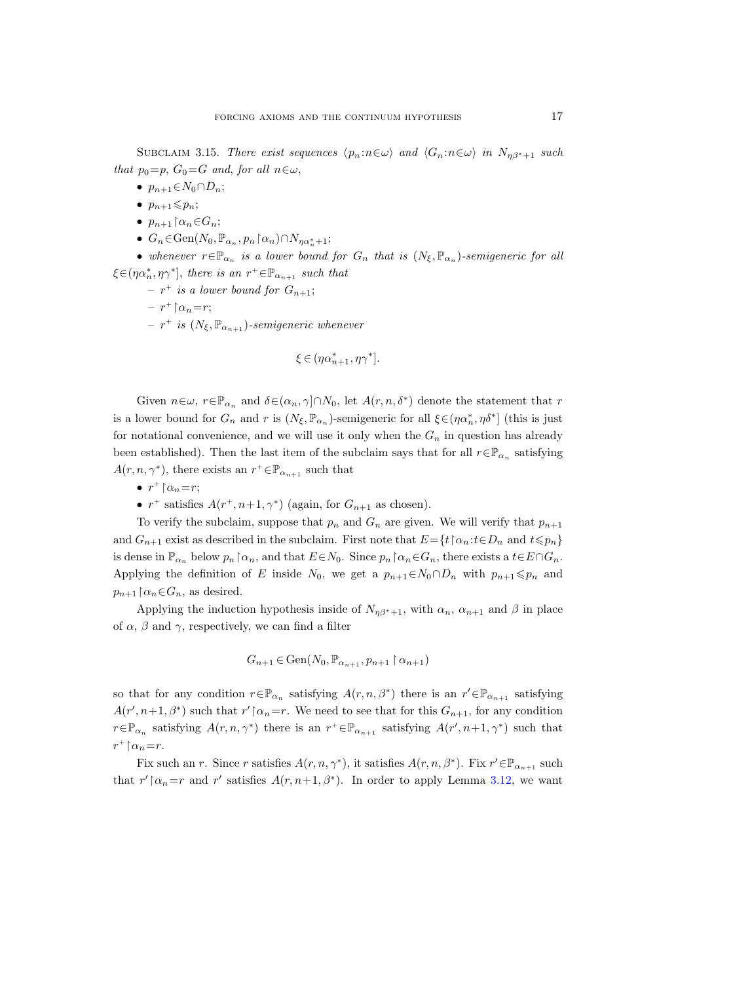SUBCLAIM 3.15. There exist sequences  $\langle p_n : n \in \omega \rangle$  and  $\langle G_n : n \in \omega \rangle$  in  $N_{\eta\beta^*+1}$  such that  $p_0=p, G_0=G$  and, for all  $n\in\omega$ ,

- $p_{n+1} \in N_0 \cap D_n$ ;
- $p_{n+1} \leqslant p_n$ ;
- $p_{n+1} \upharpoonright \alpha_n \in G_n;$
- $G_n \in \text{Gen}(N_0, \mathbb{P}_{\alpha_n}, p_n \upharpoonright \alpha_n) \cap N_{\eta \alpha_n^* + 1};$

• whenever  $r \in \mathbb{P}_{\alpha_n}$  is a lower bound for  $G_n$  that is  $(N_{\xi}, \mathbb{P}_{\alpha_n})$ -semigeneric for all  $\xi \in (\eta \alpha_n^*, \eta \gamma^*],$  there is an  $r^+ \in \mathbb{P}_{\alpha_{n+1}}$  such that

- $r^+$  is a lower bound for  $G_{n+1}$ ;
- $r^+ \upharpoonright \alpha_n = r;$
- $r^{+}$  is  $(N_{\xi}, \mathbb{P}_{\alpha_{n+1}})$ -semigeneric whenever

$$
\xi \in (\eta\alpha_{n+1}^*,\eta\gamma^*].
$$

Given  $n \in \omega$ ,  $r \in \mathbb{P}_{\alpha_n}$  and  $\delta \in (\alpha_n, \gamma] \cap N_0$ , let  $A(r, n, \delta^*)$  denote the statement that r is a lower bound for  $G_n$  and r is  $(N_\xi, \mathbb{P}_{\alpha_n})$ -semigeneric for all  $\xi \in (\eta \alpha_n^*, \eta \delta^*]$  (this is just for notational convenience, and we will use it only when the  $G_n$  in question has already been established). Then the last item of the subclaim says that for all  $r \in \mathbb{P}_{\alpha_n}$  satisfying  $A(r, n, \gamma^*)$ , there exists an  $r^+ \in \mathbb{P}_{\alpha_{n+1}}$  such that

- $r^+ \upharpoonright \alpha_n = r;$
- $r^+$  satisfies  $A(r^+, n+1, \gamma^*)$  (again, for  $G_{n+1}$  as chosen).

To verify the subclaim, suppose that  $p_n$  and  $G_n$  are given. We will verify that  $p_{n+1}$ and  $G_{n+1}$  exist as described in the subclaim. First note that  $E = \{t \mid \alpha_n : t \in D_n \text{ and } t \leq p_n\}$ is dense in  $\mathbb{P}_{\alpha_n}$  below  $p_n \upharpoonright \alpha_n$ , and that  $E \in N_0$ . Since  $p_n \upharpoonright \alpha_n \in G_n$ , there exists a  $t \in E \cap G_n$ . Applying the definition of E inside  $N_0$ , we get a  $p_{n+1} \in N_0 \cap D_n$  with  $p_{n+1} \leq p_n$  and  $p_{n+1} \upharpoonright \alpha_n \in G_n$ , as desired.

Applying the induction hypothesis inside of  $N_{n\beta^*+1}$ , with  $\alpha_n$ ,  $\alpha_{n+1}$  and  $\beta$  in place of  $\alpha$ ,  $\beta$  and  $\gamma$ , respectively, we can find a filter

$$
G_{n+1}\in\mathrm{Gen}(N_0,\mathbb{P}_{\alpha_{n+1}},p_{n+1}\upharpoonright\alpha_{n+1})
$$

so that for any condition  $r \in \mathbb{P}_{\alpha_n}$  satisfying  $A(r, n, \beta^*)$  there is an  $r' \in \mathbb{P}_{\alpha_{n+1}}$  satisfying  $A(r', n+1, \beta^*)$  such that  $r' \upharpoonright \alpha_n = r$ . We need to see that for this  $G_{n+1}$ , for any condition  $r \in \mathbb{P}_{\alpha_n}$  satisfying  $A(r, n, \gamma^*)$  there is an  $r^+ \in \mathbb{P}_{\alpha_{n+1}}$  satisfying  $A(r', n+1, \gamma^*)$  such that  $r^+ \upharpoonright \alpha_n = r.$ 

Fix such an r. Since r satisfies  $A(r, n, \gamma^*)$ , it satisfies  $A(r, n, \beta^*)$ . Fix  $r' \in \mathbb{P}_{\alpha_{n+1}}$  such that  $r' \upharpoonright \alpha_n = r$  and  $r'$  satisfies  $A(r, n+1, \beta^*)$ . In order to apply Lemma [3.12,](#page-14-1) we want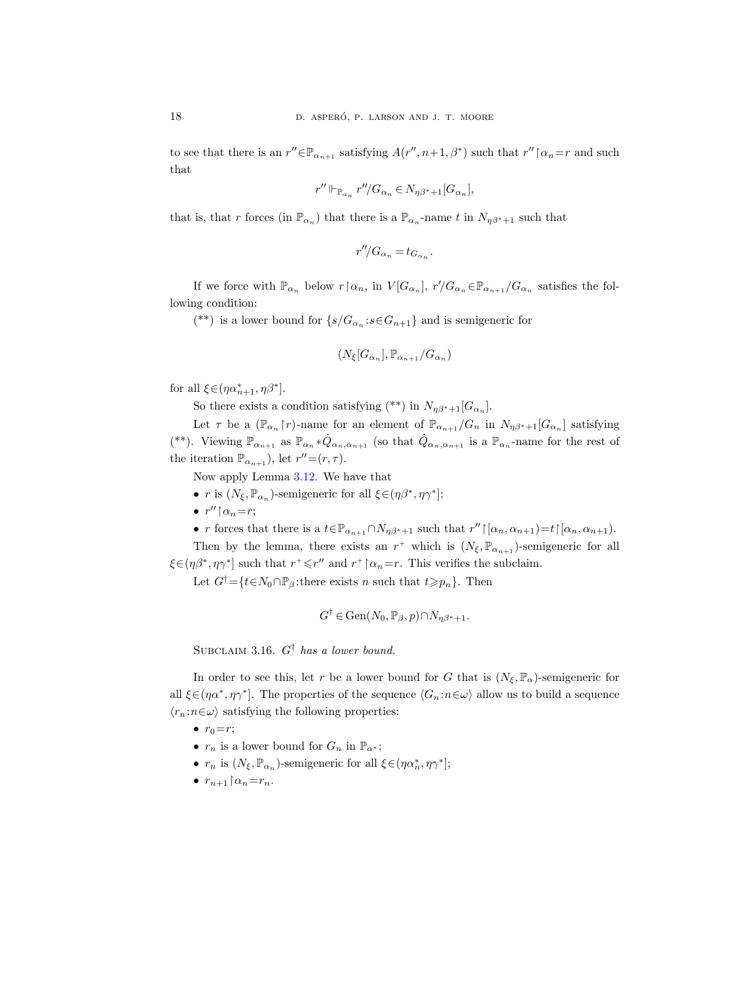to see that there is an  $r'' \in \mathbb{P}_{\alpha_{n+1}}$  satisfying  $A(r'', n+1, \beta^*)$  such that  $r'' \upharpoonright \alpha_n = r$  and such that

$$
r''\Vdash_{\mathbb{P}_{\alpha_n}} r''\!/G_{\alpha_n}\in N_{\eta\beta^*+1}[G_{\alpha_n}],
$$

that is, that r forces (in  $\mathbb{P}_{\alpha_n}$ ) that there is a  $\mathbb{P}_{\alpha_n}$ -name t in  $N_{\eta\beta^*+1}$  such that

$$
r''/G_{\alpha_n} = t_{G_{\alpha_n}}.
$$

If we force with  $\mathbb{P}_{\alpha_n}$  below  $r \upharpoonright \alpha_n$ , in  $V[G_{\alpha_n}]$ ,  $r/G_{\alpha_n} \in \mathbb{P}_{\alpha_{n+1}}/G_{\alpha_n}$  satisfies the following condition:

(\*\*) is a lower bound for  $\{s/G_{\alpha_n}: s \in G_{n+1}\}$  and is semigeneric for

$$
(N_{\xi}[G_{\alpha_n}],\mathbb{P}_{\alpha_{n+1}}/G_{\alpha_n})
$$

for all  $\xi \in (\eta \alpha_{n+1}^*, \eta \beta^*]$ .

So there exists a condition satisfying  $(**)$  in  $N_{\eta\beta^*+1}[G_{\alpha_n}].$ 

Let  $\tau$  be a  $(\mathbb{P}_{\alpha_n} \upharpoonright r)$ -name for an element of  $\mathbb{P}_{\alpha_{n+1}}/G_n$  in  $N_{\eta\beta^*+1}[G_{\alpha_n}]$  satisfying (\*\*). Viewing  $\mathbb{P}_{\alpha_{n+1}}$  as  $\mathbb{P}_{\alpha_n} * \dot{Q}_{\alpha_n, \alpha_{n+1}}$  (so that  $\dot{Q}_{\alpha_n, \alpha_{n+1}}$  is a  $\mathbb{P}_{\alpha_n}$ -name for the rest of the iteration  $\mathbb{P}_{\alpha_{n+1}}$ ), let  $r''=(r,\tau)$ .

Now apply Lemma [3.12.](#page-14-1) We have that

- r is  $(N_{\xi}, \mathbb{P}_{\alpha_n})$ -semigeneric for all  $\xi \in (\eta \beta^*, \eta \gamma^*]$ ;
- $r'' \upharpoonright \alpha_n = r$ ;

• r forces that there is a  $t \in \mathbb{P}_{\alpha_{n+1}} \cap N_{\eta\beta^*+1}$  such that  $r'' \upharpoonright [\alpha_n, \alpha_{n+1}) = t \upharpoonright [\alpha_n, \alpha_{n+1})$ . Then by the lemma, there exists an  $r^+$  which is  $(N_{\xi}, \mathbb{P}_{\alpha_{n+1}})$ -semigeneric for all  $\xi \in (\eta \beta^*, \eta \gamma^*]$  such that  $r^+ \le r''$  and  $r^+ \upharpoonright \alpha_n = r$ . This verifies the subclaim.

Let  $G^{\dagger} = \{t \in N_0 \cap \mathbb{P}_{\beta} : \text{there exists } n \text{ such that } t \geq p_n \}.$  Then

$$
G^{\dagger} \in \text{Gen}(N_0, \mathbb{P}_{\beta}, p) \cap N_{\eta \beta^* + 1}.
$$

SUBCLAIM 3.16.  $G^{\dagger}$  has a lower bound.

In order to see this, let r be a lower bound for G that is  $(N_{\xi}, \mathbb{P}_{\alpha})$ -semigeneric for all  $\xi \in (\eta \alpha^*, \eta \gamma^*]$ . The properties of the sequence  $\langle G_n : n \in \omega \rangle$  allow us to build a sequence  $\langle r_n : n \in \omega \rangle$  satisfying the following properties:

 $\bullet$   $r_0=r;$ 

- $r_n$  is a lower bound for  $G_n$  in  $\mathbb{P}_{\alpha^*}$ ;
- $r_n$  is  $(N_\xi, \mathbb{P}_{\alpha_n})$ -semigeneric for all  $\xi \in (\eta \alpha_n^*, \eta \gamma^*];$
- $r_{n+1} \upharpoonright \alpha_n = r_n$ .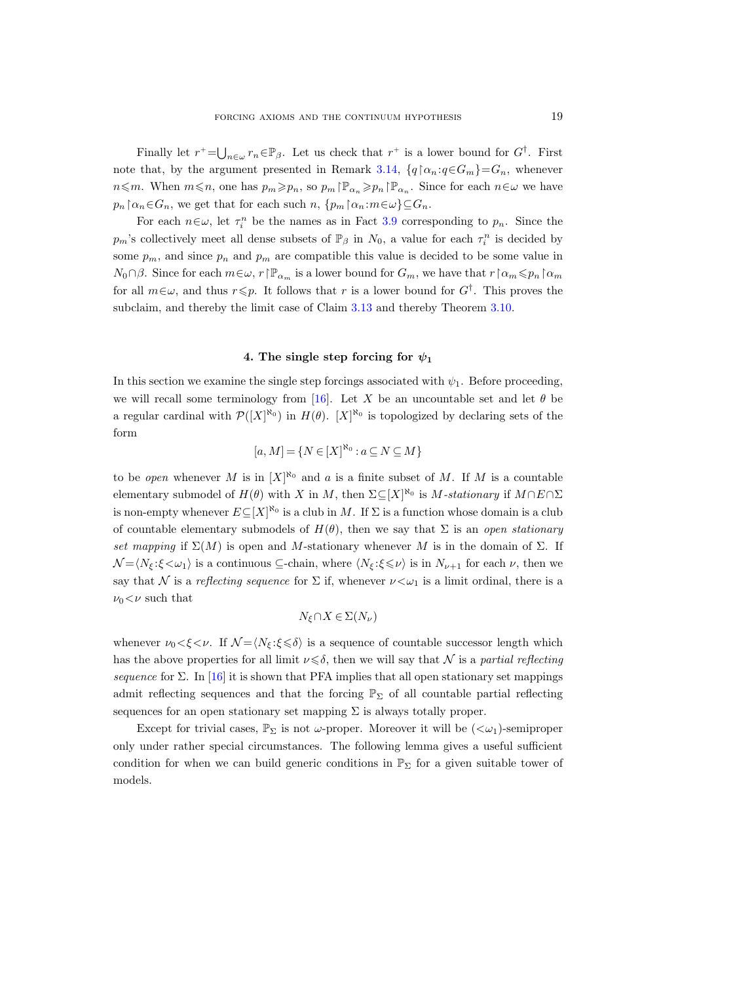Finally let  $r^+ = \bigcup_{n \in \omega} r_n \in \mathbb{P}_{\beta}$ . Let us check that  $r^+$  is a lower bound for  $G^{\dagger}$ . First note that, by the argument presented in Remark [3.14,](#page-14-2)  $\{q \upharpoonright \alpha_n : q \in G_m\} = G_n$ , whenever  $n \leq m$ . When  $m \leq n$ , one has  $p_m \geq p_n$ , so  $p_m \upharpoonright \mathbb{P}_{\alpha_n} \geq p_n \upharpoonright \mathbb{P}_{\alpha_n}$ . Since for each  $n \in \omega$  we have  $p_n \nvert \alpha_n \in G_n$ , we get that for each such  $n, \{p_m \nvert \alpha_n : m \in \omega\} \subseteq G_n$ .

For each  $n \in \omega$ , let  $\tau_i^n$  be the names as in Fact [3.9](#page-13-2) corresponding to  $p_n$ . Since the  $p_m$ 's collectively meet all dense subsets of  $\mathbb{P}_{\beta}$  in  $N_0$ , a value for each  $\tau_i^n$  is decided by some  $p_m$ , and since  $p_n$  and  $p_m$  are compatible this value is decided to be some value in  $N_0\cap\beta$ . Since for each  $m\in\omega$ ,  $r\upharpoonright\mathbb{P}_{\alpha_m}$  is a lower bound for  $G_m$ , we have that  $r\upharpoonright\alpha_m\leqslant p_n\upharpoonright\alpha_m$ for all  $m \in \omega$ , and thus  $r \leq p$ . It follows that r is a lower bound for  $G^{\dagger}$ . This proves the subclaim, and thereby the limit case of Claim [3.13](#page-14-0) and thereby Theorem [3.10.](#page-13-0)

## 4. The single step forcing for  $\psi_1$

<span id="page-18-0"></span>In this section we examine the single step forcings associated with  $\psi_1$ . Before proceeding, we will recall some terminology from [\[16\]](#page-28-8). Let X be an uncountable set and let  $\theta$  be a regular cardinal with  $\mathcal{P}([X]^{\aleph_0})$  in  $H(\theta)$ .  $[X]^{\aleph_0}$  is topologized by declaring sets of the form

$$
[a, M] = \{ N \in [X]^{\aleph_0} : a \subseteq N \subseteq M \}
$$

to be open whenever M is in  $[X]^{\aleph_0}$  and a is a finite subset of M. If M is a countable elementary submodel of  $H(\theta)$  with X in M, then  $\Sigma \subseteq [X]^{\aleph_0}$  is M-stationary if  $M \cap E \cap \Sigma$ is non-empty whenever  $E \subseteq [X]^{\aleph_0}$  is a club in M. If  $\Sigma$  is a function whose domain is a club of countable elementary submodels of  $H(\theta)$ , then we say that  $\Sigma$  is an open stationary set mapping if  $\Sigma(M)$  is open and M-stationary whenever M is in the domain of  $\Sigma$ . If  $\mathcal{N} = \langle N_{\xi} : \xi \langle \omega_1 \rangle$  is a continuous ⊆-chain, where  $\langle N_{\xi} : \xi \leq \nu \rangle$  is in  $N_{\nu+1}$  for each  $\nu$ , then we say that N is a reflecting sequence for  $\Sigma$  if, whenever  $\nu < \omega_1$  is a limit ordinal, there is a  $\nu_0<\nu$  such that

$$
N_{\xi} \cap X \in \Sigma(N_{\nu})
$$

whenever  $\nu_0 < \xi < \nu$ . If  $\mathcal{N} = \langle N_{\xi} : \xi \leq \delta \rangle$  is a sequence of countable successor length which has the above properties for all limit  $\nu \leq \delta$ , then we will say that N is a partial reflecting sequence for  $\Sigma$ . In [\[16\]](#page-28-8) it is shown that PFA implies that all open stationary set mappings admit reflecting sequences and that the forcing  $\mathbb{P}_{\Sigma}$  of all countable partial reflecting sequences for an open stationary set mapping  $\Sigma$  is always totally proper.

<span id="page-18-1"></span>Except for trivial cases,  $\mathbb{P}_{\Sigma}$  is not  $\omega$ -proper. Moreover it will be  $( $\omega_1$ )-semiproper$ only under rather special circumstances. The following lemma gives a useful sufficient condition for when we can build generic conditions in  $\mathbb{P}_{\Sigma}$  for a given suitable tower of models.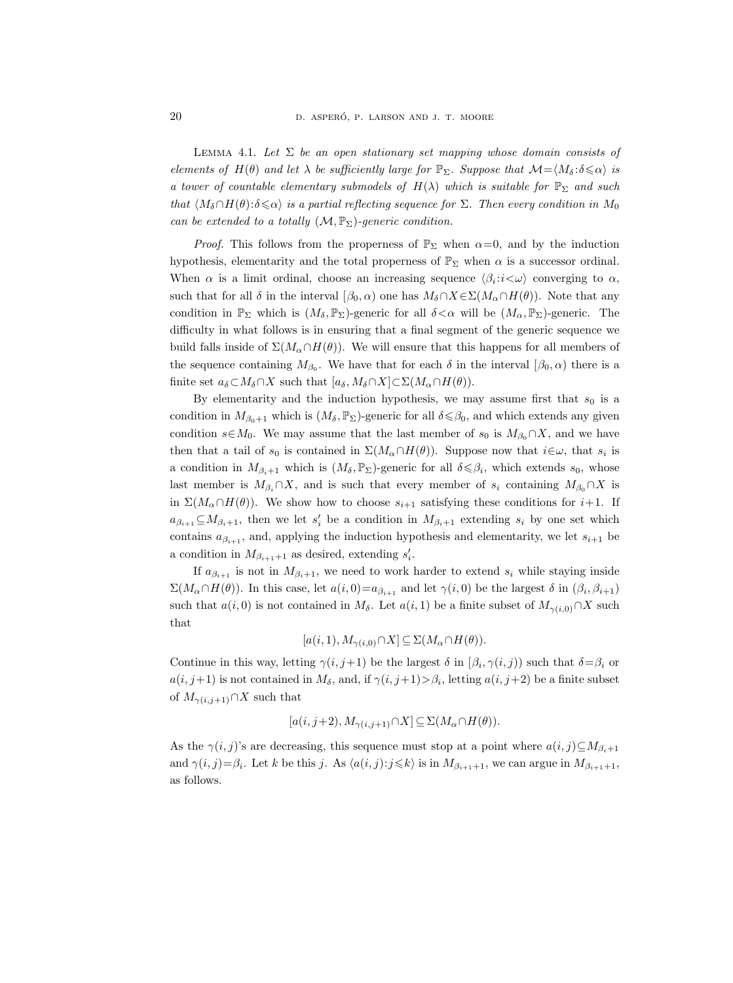LEMMA 4.1. Let  $\Sigma$  be an open stationary set mapping whose domain consists of elements of  $H(\theta)$  and let  $\lambda$  be sufficiently large for  $\mathbb{P}_{\Sigma}$ . Suppose that  $\mathcal{M}=\langle M_{\delta} : \delta \leq \alpha \rangle$  is a tower of countable elementary submodels of  $H(\lambda)$  which is suitable for  $\mathbb{P}_{\Sigma}$  and such that  $\langle M_\delta \cap H(\theta) : \delta \leq \alpha \rangle$  is a partial reflecting sequence for  $\Sigma$ . Then every condition in  $M_0$ can be extended to a totally  $(M, \mathbb{P}_{\Sigma})$ -generic condition.

*Proof.* This follows from the properness of  $\mathbb{P}_{\Sigma}$  when  $\alpha=0$ , and by the induction hypothesis, elementarity and the total properness of  $\mathbb{P}_{\Sigma}$  when  $\alpha$  is a successor ordinal. When  $\alpha$  is a limit ordinal, choose an increasing sequence  $\langle \beta_i : i \langle \omega \rangle$  converging to  $\alpha$ , such that for all  $\delta$  in the interval  $[\beta_0, \alpha)$  one has  $M_\delta \cap X \in \Sigma(M_\alpha \cap H(\theta))$ . Note that any condition in  $\mathbb{P}_{\Sigma}$  which is  $(M_{\delta}, \mathbb{P}_{\Sigma})$ -generic for all  $\delta < \alpha$  will be  $(M_{\alpha}, \mathbb{P}_{\Sigma})$ -generic. The difficulty in what follows is in ensuring that a final segment of the generic sequence we build falls inside of  $\Sigma(M_\alpha \cap H(\theta))$ . We will ensure that this happens for all members of the sequence containing  $M_{\beta_0}$ . We have that for each  $\delta$  in the interval  $[\beta_0, \alpha)$  there is a finite set  $a_{\delta} \subset M_{\delta} \cap X$  such that  $[a_{\delta}, M_{\delta} \cap X] \subset \Sigma(M_{\alpha} \cap H(\theta)).$ 

By elementarity and the induction hypothesis, we may assume first that  $s_0$  is a condition in  $M_{\beta_0+1}$  which is  $(M_\delta, \mathbb{P}_{\Sigma})$ -generic for all  $\delta \leq \beta_0$ , and which extends any given condition  $s \in M_0$ . We may assume that the last member of  $s_0$  is  $M_{\beta_0} \cap X$ , and we have then that a tail of  $s_0$  is contained in  $\Sigma(M_\alpha \cap H(\theta))$ . Suppose now that  $i \in \omega$ , that  $s_i$  is a condition in  $M_{\beta_i+1}$  which is  $(M_\delta, \mathbb{P}_{\Sigma})$ -generic for all  $\delta \leq \beta_i$ , which extends  $s_0$ , whose last member is  $M_{\beta_i} \cap X$ , and is such that every member of  $s_i$  containing  $M_{\beta_0} \cap X$  is in  $\Sigma(M_\alpha \cap H(\theta))$ . We show how to choose  $s_{i+1}$  satisfying these conditions for  $i+1$ . If  $a_{\beta_{i+1}} \subseteq M_{\beta_i+1}$ , then we let  $s'_i$  be a condition in  $M_{\beta_i+1}$  extending  $s_i$  by one set which contains  $a_{\beta_{i+1}}$ , and, applying the induction hypothesis and elementarity, we let  $s_{i+1}$  be a condition in  $M_{\beta_{i+1}+1}$  as desired, extending  $s'_i$ .

If  $a_{\beta_{i+1}}$  is not in  $M_{\beta_i+1}$ , we need to work harder to extend  $s_i$  while staying inside  $\Sigma(M_\alpha \cap H(\theta))$ . In this case, let  $a(i,0) = a_{\beta_{i+1}}$  and let  $\gamma(i,0)$  be the largest  $\delta$  in  $(\beta_i, \beta_{i+1})$ such that  $a(i, 0)$  is not contained in  $M_{\delta}$ . Let  $a(i, 1)$  be a finite subset of  $M_{\gamma(i,0)} \cap X$  such that

$$
[a(i,1), M_{\gamma(i,0)} \cap X] \subseteq \Sigma(M_\alpha \cap H(\theta)).
$$

Continue in this way, letting  $\gamma(i,j+1)$  be the largest  $\delta$  in  $(\beta_i, \gamma(i,j))$  such that  $\delta = \beta_i$  or  $a(i, j+1)$  is not contained in  $M_{\delta}$ , and, if  $\gamma(i, j+1) > \beta_i$ , letting  $a(i, j+2)$  be a finite subset of  $M_{\gamma(i,j+1)} \cap X$  such that

$$
[a(i, j+2), M_{\gamma(i, j+1)} \cap X] \subseteq \Sigma(M_\alpha \cap H(\theta)).
$$

As the  $\gamma(i, j)$ 's are decreasing, this sequence must stop at a point where  $a(i, j) \subseteq M_{\beta_i+1}$ and  $\gamma(i, j) = \beta_i$ . Let k be this j. As  $\langle a(i, j) : j \leq k \rangle$  is in  $M_{\beta_{i+1}+1}$ , we can argue in  $M_{\beta_{i+1}+1}$ , as follows.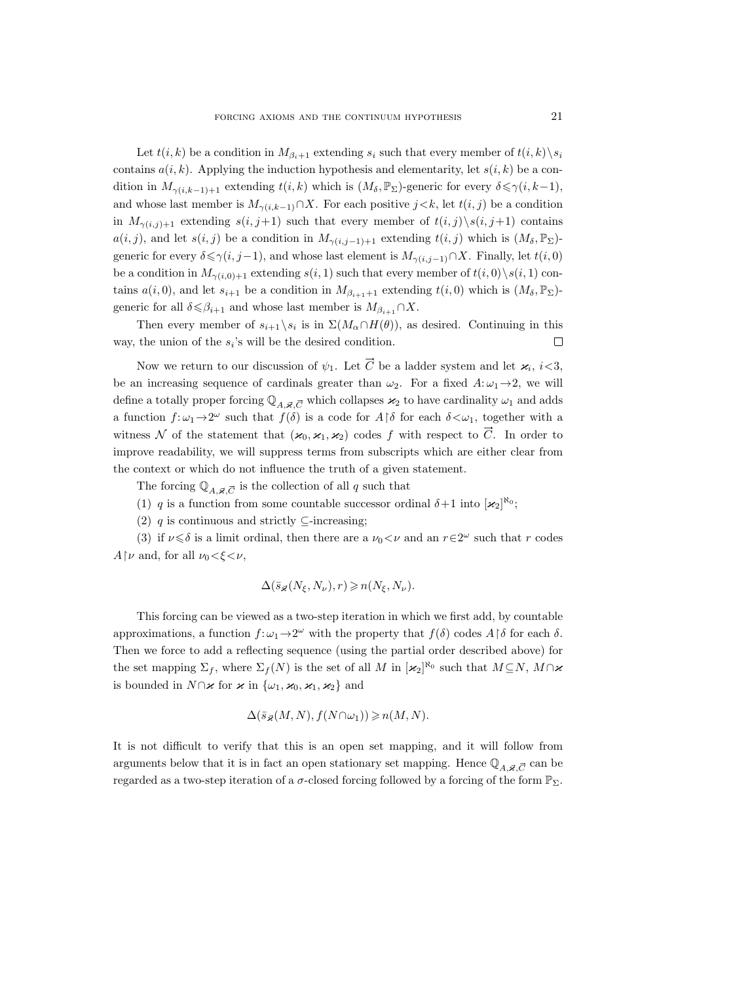Let  $t(i, k)$  be a condition in  $M_{\beta_i+1}$  extending  $s_i$  such that every member of  $t(i, k) \setminus s_i$ contains  $a(i, k)$ . Applying the induction hypothesis and elementarity, let  $s(i, k)$  be a condition in  $M_{\gamma(i,k-1)+1}$  extending  $t(i,k)$  which is  $(M_{\delta},\mathbb{P}_{\Sigma})$ -generic for every  $\delta \leq \gamma(i,k-1)$ , and whose last member is  $M_{\gamma(i,k-1)} \cap X$ . For each positive  $j < k$ , let  $t(i, j)$  be a condition in  $M_{\gamma(i,j)+1}$  extending  $s(i, j+1)$  such that every member of  $t(i, j) \setminus s(i, j+1)$  contains  $a(i, j)$ , and let  $s(i, j)$  be a condition in  $M_{\gamma(i, j-1)+1}$  extending  $t(i, j)$  which is  $(M_{\delta}, \mathbb{P}_{\Sigma})$ generic for every  $\delta \leq \gamma(i, j-1)$ , and whose last element is  $M_{\gamma(i,j-1)} \cap X$ . Finally, let  $t(i, 0)$ be a condition in  $M_{\gamma(i,0)+1}$  extending  $s(i,1)$  such that every member of  $t(i,0)\setminus s(i,1)$  contains  $a(i, 0)$ , and let  $s_{i+1}$  be a condition in  $M_{\beta_{i+1}+1}$  extending  $t(i, 0)$  which is  $(M_\delta, \mathbb{P}_{\Sigma})$ generic for all  $\delta \leq \beta_{i+1}$  and whose last member is  $M_{\beta_{i+1}} \cap X$ .

Then every member of  $s_{i+1} \backslash s_i$  is in  $\Sigma(M_\alpha \cap H(\theta))$ , as desired. Continuing in this  $\Box$ way, the union of the  $s_i$ 's will be the desired condition.

Now we return to our discussion of  $\psi_1$ . Let  $\vec{C}$  be a ladder system and let  $\varkappa_i$ ,  $i<3$ , be an increasing sequence of cardinals greater than  $\omega_2$ . For a fixed  $A:\omega_1\to 2$ , we will define a totally proper forcing  $\mathbb{Q}_A \neq \overline{C}$  which collapses  $\varkappa_2$  to have cardinality  $\omega_1$  and adds a function  $f: \omega_1 \to 2^{\omega}$  such that  $f(\delta)$  is a code for  $A \upharpoonright \delta$  for each  $\delta < \omega_1$ , together with a witness N of the statement that  $(\varkappa_0,\varkappa_1,\varkappa_2)$  codes f with respect to  $\vec{C}$ . In order to improve readability, we will suppress terms from subscripts which are either clear from the context or which do not influence the truth of a given statement.

The forcing  $\mathbb{Q}_A$ ,  $\vec{c}$  is the collection of all q such that

- (1) q is a function from some countable successor ordinal  $\delta+1$  into  $[\varkappa_2]^{\aleph_0}$ ;
- (2) q is continuous and strictly  $\subseteq$ -increasing;

(3) if  $\nu \le \delta$  is a limit ordinal, then there are a  $\nu_0 < \nu$  and an  $r \in 2^\omega$  such that r codes  $A\upharpoonright \nu$  and, for all  $\nu_0<\xi<\nu$ ,

$$
\Delta(\bar{s}_{\vec{\varkappa}}(N_{\xi},N_{\nu}),r)\geqslant n(N_{\xi},N_{\nu}).
$$

This forcing can be viewed as a two-step iteration in which we first add, by countable approximations, a function  $f: \omega_1 \to 2^{\omega}$  with the property that  $f(\delta)$  codes  $A \upharpoonright \delta$  for each  $\delta$ . Then we force to add a reflecting sequence (using the partial order described above) for the set mapping  $\Sigma_f$ , where  $\Sigma_f(N)$  is the set of all M in  $[\varkappa_2]^{\aleph_0}$  such that  $M\subseteq N$ ,  $M\cap\varkappa$ is bounded in  $N \cap \varkappa$  for  $\varkappa$  in  $\{\omega_1,\varkappa_0,\varkappa_1,\varkappa_2\}$  and

$$
\Delta(\bar{s}_{\vec{\varkappa}}(M,N), f(N \cap \omega_1)) \geqslant n(M,N).
$$

It is not difficult to verify that this is an open set mapping, and it will follow from arguments below that it is in fact an open stationary set mapping. Hence  $\mathbb{Q}_{A,\vec{\boldsymbol{\varkappa}}\cdot\vec{C}}$  can be regarded as a two-step iteration of a  $\sigma$ -closed forcing followed by a forcing of the form  $\mathbb{P}_{\Sigma}$ .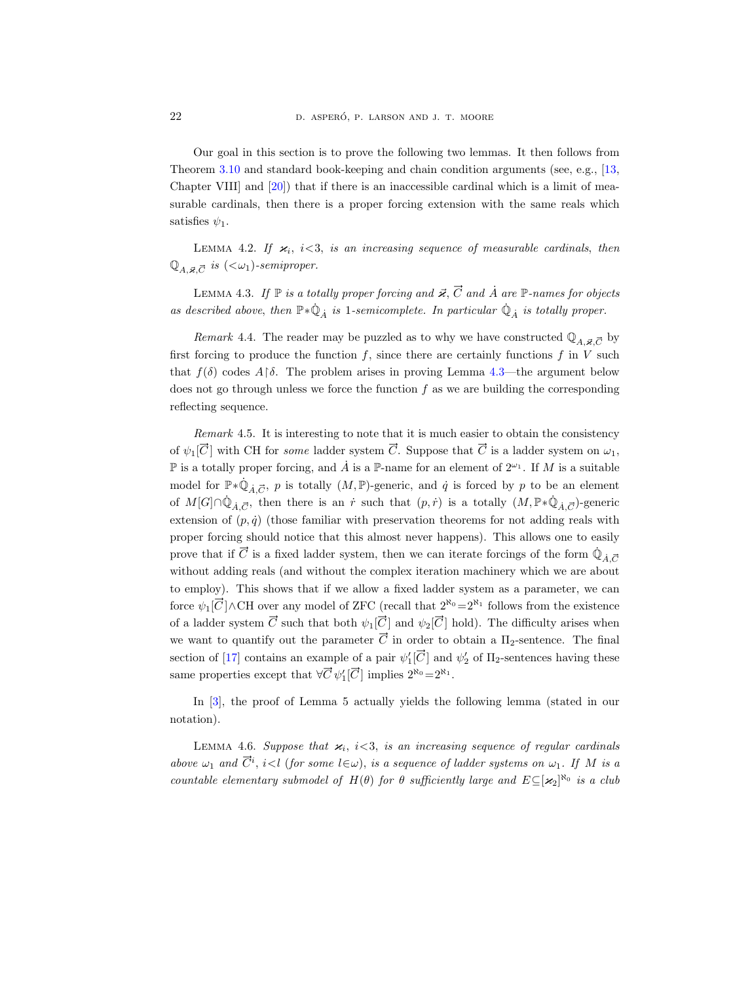Our goal in this section is to prove the following two lemmas. It then follows from Theorem [3.10](#page-13-0) and standard book-keeping and chain condition arguments (see, e.g., [\[13,](#page-28-7) Chapter VIII] and [\[20\]](#page-28-3)) that if there is an inaccessible cardinal which is a limit of measurable cardinals, then there is a proper forcing extension with the same reals which satisfies  $\psi_1$ .

<span id="page-21-0"></span>LEMMA 4.2. If  $\varkappa_i$ ,  $i<3$ , is an increasing sequence of measurable cardinals, then  $\mathbb{Q}_{A,\vec{\varkappa}.\vec{C}}$  is  $(<\omega_1)$ -semiproper.

<span id="page-21-1"></span>LEMMA 4.3. If  $\mathbb P$  is a totally proper forcing and  $\vec{\varkappa}, \vec{C}$  and  $\vec{A}$  are  $\mathbb P$ -names for objects as described above, then  $\mathbb{P} * \dot{\mathbb{Q}}_{\dot{A}}$  is 1-semicomplete. In particular  $\dot{\mathbb{Q}}_{\dot{A}}$  is totally proper.

Remark 4.4. The reader may be puzzled as to why we have constructed  $\mathbb{Q}_{A,\vec{\boldsymbol{z}},\vec{C}}$  by first forcing to produce the function  $f$ , since there are certainly functions  $f$  in  $V$  such that  $f(\delta)$  codes  $A\upharpoonright \delta$ . The problem arises in proving Lemma [4.3—](#page-21-1)the argument below does not go through unless we force the function  $f$  as we are building the corresponding reflecting sequence.

Remark 4.5. It is interesting to note that it is much easier to obtain the consistency of  $\psi_1[\vec{C}]$  with CH for some ladder system  $\vec{C}$ . Suppose that  $\vec{C}$  is a ladder system on  $\omega_1$ ,  $\mathbb P$  is a totally proper forcing, and  $\dot A$  is a  $\mathbb P$ -name for an element of  $2^{\omega_1}$ . If M is a suitable model for  $\mathbb{P} * \dot{\mathbb{Q}}_{\dot{A},\vec{C}}, p$  is totally  $(M,\mathbb{P})$ -generic, and  $\dot{q}$  is forced by p to be an element of  $M[G] \cap \dot{\mathbb{Q}}_{\dot{A},\vec{C}}$ , then there is an  $\dot{r}$  such that  $(p,\dot{r})$  is a totally  $(M,\mathbb{P}*\dot{\mathbb{Q}}_{\dot{A},\vec{C}})$ -generic extension of  $(p, \dot{q})$  (those familiar with preservation theorems for not adding reals with proper forcing should notice that this almost never happens). This allows one to easily prove that if  $\vec{C}$  is a fixed ladder system, then we can iterate forcings of the form  $\dot{\mathbb{Q}}_{\dot{A},\vec{C}}$ without adding reals (and without the complex iteration machinery which we are about to employ). This shows that if we allow a fixed ladder system as a parameter, we can force  $\psi_1[\vec{C}]\wedge\text{CH}$  over any model of ZFC (recall that  $2^{\aleph_0}=2^{\aleph_1}$  follows from the existence of a ladder system  $\vec{C}$  such that both  $\psi_1[\vec{C}]$  and  $\psi_2[\vec{C}]$  hold). The difficulty arises when we want to quantify out the parameter  $\vec{C}$  in order to obtain a  $\Pi_2$ -sentence. The final section of [\[17\]](#page-28-5) contains an example of a pair  $\psi_1'[\vec{C}]$  and  $\psi_2'$  of  $\Pi_2$ -sentences having these same properties except that  $\forall \vec{C} \psi_1'[\vec{C}]$  implies  $2^{\aleph_0} = 2^{\aleph_1}$ .

In [\[3\]](#page-27-5), the proof of Lemma 5 actually yields the following lemma (stated in our notation).

<span id="page-21-2"></span>LEMMA 4.6. Suppose that  $\varkappa_i$ ,  $i<3$ , is an increasing sequence of regular cardinals above  $\omega_1$  and  $\vec{C}^i$ ,  $i < l$  (for some  $l \in \omega$ ), is a sequence of ladder systems on  $\omega_1$ . If M is a countable elementary submodel of  $H(\theta)$  for  $\theta$  sufficiently large and  $E \subseteq [\varkappa_2]^{\aleph_0}$  is a club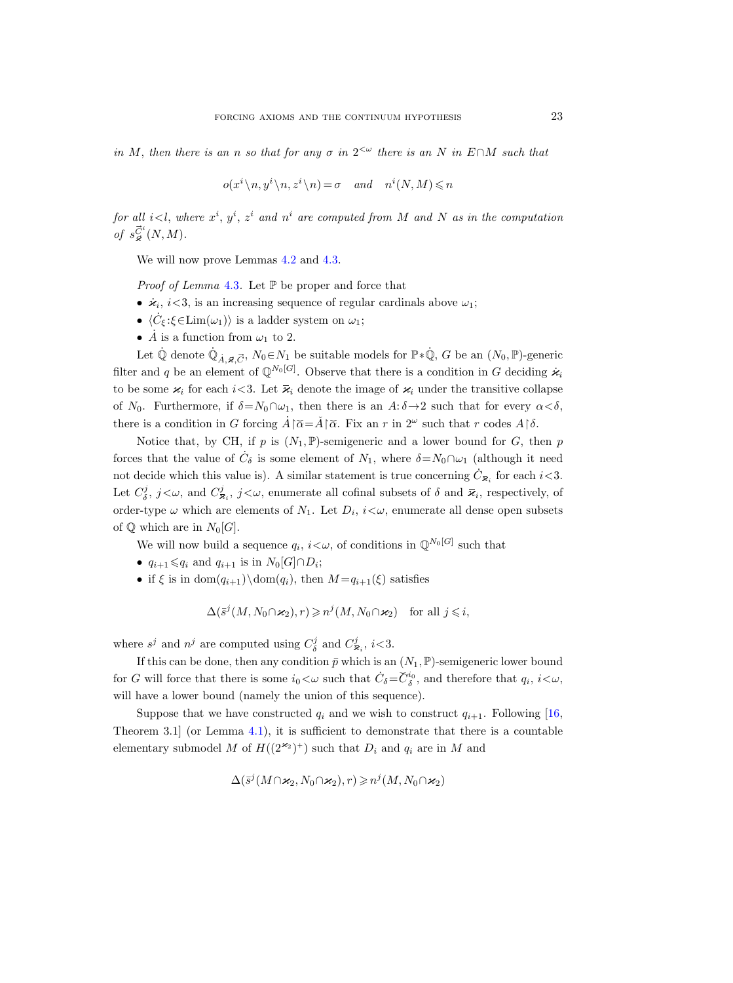in M, then there is an n so that for any  $\sigma$  in  $2^{\lt \omega}$  there is an N in E∩M such that

$$
o(x^i \setminus n, y^i \setminus n, z^i \setminus n) = \sigma \quad and \quad n^i(N, M) \leqslant n
$$

for all  $i< l$ , where  $x^i$ ,  $y^i$ ,  $z^i$  and  $n^i$  are computed from M and N as in the computation of  $s_{\vec{\varkappa}}^{\vec{C}^i}(N,M)$ .

We will now prove Lemmas  $4.2$  and  $4.3$ .

*Proof of Lemma* [4.3](#page-21-1). Let  $\mathbb P$  be proper and force that

- $\dot{\varkappa}_i$ ,  $i<3$ , is an increasing sequence of regular cardinals above  $\omega_1$ ;
- $\langle \dot{C}_{\xi} : \xi \in \text{Lim}(\omega_1) \rangle$  is a ladder system on  $\omega_1$ ;
- $\dot{A}$  is a function from  $\omega_1$  to 2.

Let  $\dot{\mathbb{Q}}$  denote  $\dot{\mathbb{Q}}_{\dot{A},\vec{\varkappa},\vec{C}}, N_0 \in N_1$  be suitable models for  $\mathbb{P} \ast \dot{\mathbb{Q}}$ ,  $G$  be an  $(N_0, \mathbb{P})$ -generic filter and q be an element of  $\mathbb{Q}^{N_0[G]}$ . Observe that there is a condition in G deciding  $\dot{\mathbf{z}}_i$ to be some  $\varkappa_i$  for each i<3. Let  $\bar{\varkappa}_i$  denote the image of  $\varkappa_i$  under the transitive collapse of N<sub>0</sub>. Furthermore, if  $\delta = N_0 \cap \omega_1$ , then there is an  $A: \delta \to 2$  such that for every  $\alpha < \delta$ , there is a condition in G forcing  $\hat{A}$ [ $\tilde{\alpha}$ = $\tilde{A}$ [ $\tilde{\alpha}$ . Fix an r in  $2^{\omega}$  such that r codes  $A$ [ $\delta$ .

Notice that, by CH, if p is  $(N_1, \mathbb{P})$ -semigeneric and a lower bound for G, then p forces that the value of  $\dot{C}_\delta$  is some element of  $N_1$ , where  $\delta = N_0 \cap \omega_1$  (although it need not decide which this value is). A similar statement is true concerning  $\dot{C}_{\bar{\mathbf{x}}_i}$  for each  $i<3$ . Let  $C_{\delta}^j$ ,  $j<\omega$ , and  $C_{\overline{\mathbf{x}}_i}^j$ ,  $j<\omega$ , enumerate all cofinal subsets of  $\delta$  and  $\overline{\mathbf{z}}_i$ , respectively, of order-type  $\omega$  which are elements of  $N_1$ . Let  $D_i$ ,  $i<\omega$ , enumerate all dense open subsets of  $\mathbb Q$  which are in  $N_0[G]$ .

We will now build a sequence  $q_i$ ,  $i<\omega$ , of conditions in  $\mathbb{Q}^{N_0[G]}$  such that

- $q_{i+1} \leqslant q_i$  and  $q_{i+1}$  is in  $N_0[G] \cap D_i$ ;
- if  $\xi$  is in dom $(q_{i+1})\setminus \text{dom}(q_i)$ , then  $M = q_{i+1}(\xi)$  satisfies

 $\Delta(\bar{s}^j(M, N_0 \cap \varkappa_2), r) \geqslant n^j(M, N_0 \cap \varkappa_2)$  for all  $j \leqslant i$ ,

where  $s^j$  and  $n^j$  are computed using  $C^j_\delta$  and  $C^j_{\overline{\mathbf{x}}_i}$ ,  $i<3$ .

If this can be done, then any condition  $\bar{p}$  which is an  $(N_1, \mathbb{P})$ -semigeneric lower bound for G will force that there is some  $i_0 < \omega$  such that  $\dot{C}_\delta = \check{C}_\delta^{i_0}$ , and therefore that  $q_i$ ,  $i < \omega$ , will have a lower bound (namely the union of this sequence).

Suppose that we have constructed  $q_i$  and we wish to construct  $q_{i+1}$ . Following [\[16,](#page-28-8) Theorem 3.1 (or Lemma [4.1\)](#page-18-1), it is sufficient to demonstrate that there is a countable elementary submodel M of  $H((2^{\varkappa_2})^+)$  such that  $D_i$  and  $q_i$  are in M and

$$
\Delta(\bar{s}^j(M \cap \varkappa_2, N_0 \cap \varkappa_2), r) \geqslant n^j(M, N_0 \cap \varkappa_2)
$$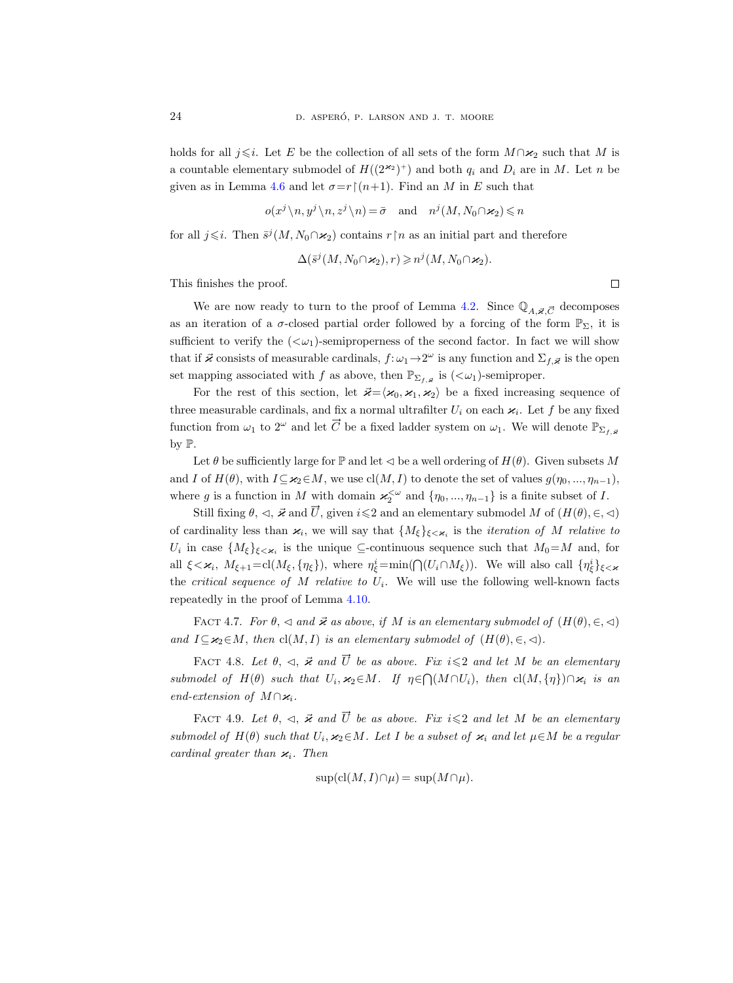holds for all j integral  $i \in E$  be the collection of all sets of the form  $M \cap \varkappa_2$  such that M is a countable elementary submodel of  $H((2^{\varkappa_2})^+)$  and both  $q_i$  and  $D_i$  are in M. Let n be given as in Lemma [4.6](#page-21-2) and let  $\sigma = r \restriction (n+1)$ . Find an M in E such that

$$
o(x^j \setminus n, y^j \setminus n, z^j \setminus n) = \bar{\sigma} \quad \text{and} \quad n^j(M, N_0 \cap \varkappa_2) \leq n
$$

for all  $j \leq i$ . Then  $\bar{s}^{j}(M, N_0 \cap \varkappa_2)$  contains  $r \upharpoonright n$  as an initial part and therefore

$$
\Delta(\bar{s}^j(M, N_0 \cap \varkappa_2), r) \geqslant n^j(M, N_0 \cap \varkappa_2).
$$

This finishes the proof.

We are now ready to turn to the proof of Lemma [4.2.](#page-21-0) Since  $\mathbb{Q}_{A,\vec{\boldsymbol{\varkappa}},\vec{C}}$  decomposes as an iteration of a  $\sigma$ -closed partial order followed by a forcing of the form  $\mathbb{P}_{\Sigma}$ , it is sufficient to verify the  $( $\omega_1$ )-semiproperness of the second factor. In fact we will show$ that if  $\vec{x}$  consists of measurable cardinals,  $f: \omega_1 \to 2^\omega$  is any function and  $\Sigma_{f,\vec{x}}$  is the open set mapping associated with f as above, then  $\mathbb{P}_{\Sigma_{f,\vec{\boldsymbol{\varkappa}}}}$  is  $(<\omega_1$ )-semiproper.

For the rest of this section, let  $\vec{\varkappa} = \langle \varkappa_0,\varkappa_1,\varkappa_2 \rangle$  be a fixed increasing sequence of three measurable cardinals, and fix a normal ultrafilter  $U_i$  on each  $\kappa_i$ . Let f be any fixed function from  $\omega_1$  to  $2^{\omega}$  and let  $\vec{C}$  be a fixed ladder system on  $\omega_1$ . We will denote  $\mathbb{P}_{\Sigma_f}$ , by P.

Let  $\theta$  be sufficiently large for P and let  $\triangleleft$  be a well ordering of  $H(\theta)$ . Given subsets M and I of  $H(\theta)$ , with  $I\subseteq \varkappa_2\in M$ , we use  $\text{cl}(M, I)$  to denote the set of values  $g(\eta_0, ..., \eta_{n-1})$ , where g is a function in M with domain  $\varkappa_2^{\lt \omega}$  and  $\{\eta_0, ..., \eta_{n-1}\}$  is a finite subset of I.

Still fixing  $\theta$ ,  $\triangleleft$ ,  $\vec{x}$  and  $\vec{U}$ , given  $i\leq 2$  and an elementary submodel M of  $(H(\theta), \in, \triangleleft)$ of cardinality less than  $\varkappa_i$ , we will say that  ${M_{\xi}}_{\xi<\varkappa_i}$  is the *iteration of M relative to*  $U_i$  in case  $\{M_{\xi}\}_{\xi<\varkappa_i}$  is the unique ⊆-continuous sequence such that  $M_0=M$  and, for all  $\xi < \varkappa_i$ ,  $M_{\xi+1} = \text{cl}(M_{\xi}, \{\eta_{\xi}\})$ , where  $\eta_{\xi}^{i} = \min(\bigcap (U_i \cap M_{\xi}))$ . We will also call  $\{\eta_{\xi}^{i}\}_{\xi < \varkappa}$ the *critical sequence of M relative to*  $U_i$ *.* We will use the following well-known facts repeatedly in the proof of Lemma [4.10.](#page-24-0)

FACT 4.7. For  $\theta$ ,  $\triangleleft$  and  $\vec{\varkappa}$  as above, if M is an elementary submodel of  $(H(\theta), \in, \triangleleft)$ and  $I\subseteq \varkappa_2\in M$ , then  $\text{cl}(M, I)$  is an elementary submodel of  $(H(\theta), \in, \leq).$ 

<span id="page-23-0"></span>FACT 4.8. Let  $\theta$ ,  $\leq$ ,  $\vec{x}$  and  $\vec{U}$  be as above. Fix  $i \leq 2$  and let M be an elementary submodel of  $H(\theta)$  such that  $U_i, \varkappa_2 \in M$ . If  $\eta \in \bigcap (M \cap U_i)$ , then  $\text{cl}(M, \{\eta\}) \cap \varkappa_i$  is an end-extension of  $M \cap \varkappa_i$ .

<span id="page-23-1"></span>FACT 4.9. Let  $\theta$ ,  $\leq$ ,  $\vec{\varkappa}$  and  $\vec{U}$  be as above. Fix  $i \leq 2$  and let M be an elementary submodel of  $H(\theta)$  such that  $U_i, \varkappa_2 \in M$ . Let I be a subset of  $\varkappa_i$  and let  $\mu \in M$  be a regular cardinal greater than  $\varkappa_i$ . Then

$$
\sup(\text{cl}(M, I)\cap \mu) = \sup(M\cap \mu).
$$

 $\Box$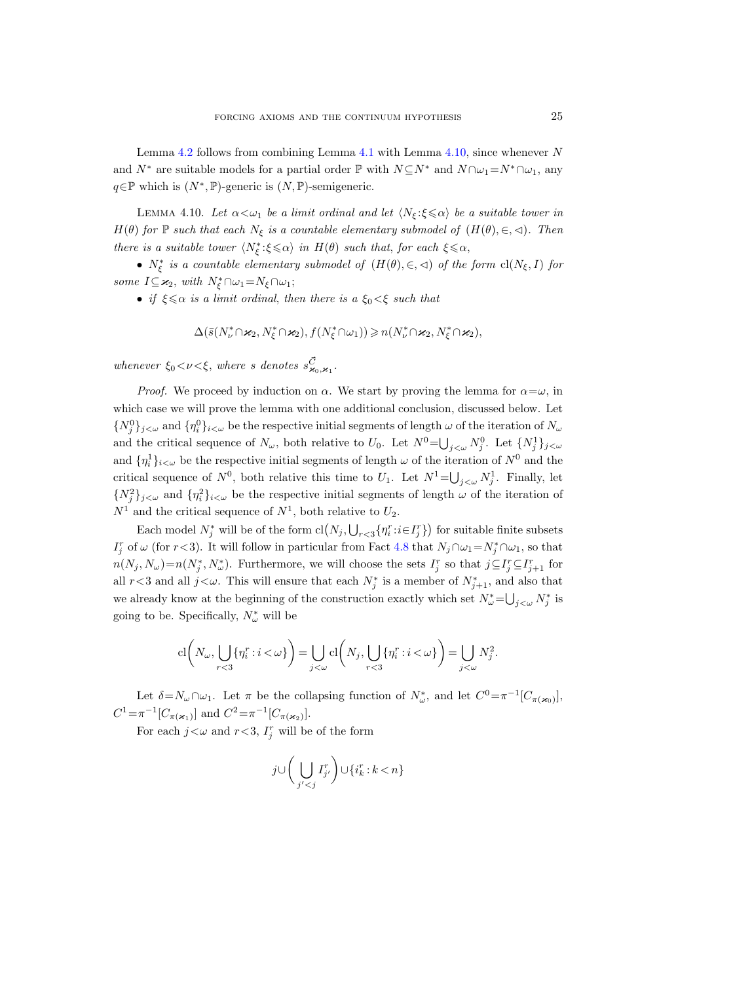Lemma [4.2](#page-21-0) follows from combining Lemma [4.1](#page-18-1) with Lemma [4.10,](#page-24-0) since whenever  $N$ and  $N^*$  are suitable models for a partial order P with  $N \subseteq N^*$  and  $N \cap \omega_1 = N^* \cap \omega_1$ , any  $q \in \mathbb{P}$  which is  $(N^*, \mathbb{P})$ -generic is  $(N, \mathbb{P})$ -semigeneric.

<span id="page-24-0"></span>LEMMA 4.10. Let  $\alpha < \omega_1$  be a limit ordinal and let  $\langle N_{\xi} : \xi \le \alpha \rangle$  be a suitable tower in  $H(\theta)$  for  $\mathbb P$  such that each  $N_{\xi}$  is a countable elementary submodel of  $(H(\theta), \in, \leq)$ . Then there is a suitable tower  $\langle N^*_\xi : \xi \leq \alpha \rangle$  in  $H(\theta)$  such that, for each  $\xi \leq \alpha$ ,

•  $N_{\xi}^{*}$  is a countable elementary submodel of  $(H(\theta), \in, \triangleleft)$  of the form  $\text{cl}(N_{\xi}, I)$  for some  $I \subseteq \varkappa_2$ , with  $N_{\xi}^* \cap \omega_1 = N_{\xi} \cap \omega_1$ ;

• if  $\xi \leq \alpha$  is a limit ordinal, then there is a  $\xi_0 < \xi$  such that

$$
\Delta(\bar{s}(N^*_{\nu}\cap \varkappa_2, N^*_{\xi}\cap \varkappa_2), f(N^*_{\xi}\cap \omega_1))\geqslant n(N^*_{\nu}\cap \varkappa_2, N^*_{\xi}\cap \varkappa_2),
$$

whenever  $\xi_0 < \nu < \xi$ , where s denotes  $s_{\varkappa_0, \varkappa_1}^{\vec{C}}$ .

*Proof.* We proceed by induction on  $\alpha$ . We start by proving the lemma for  $\alpha = \omega$ , in which case we will prove the lemma with one additional conclusion, discussed below. Let  $\{N_j^0\}_{j\leq\omega}$  and  $\{\eta_i^0\}_{i\leq\omega}$  be the respective initial segments of length  $\omega$  of the iteration of  $N_\omega$ and the critical sequence of  $N_{\omega}$ , both relative to  $U_0$ . Let  $N^0 = \bigcup_{j<\omega} N_j^0$ . Let  $\{N_j^1\}_{j<\omega}$ and  $\{\eta_i^1\}_{i\leq \omega}$  be the respective initial segments of length  $\omega$  of the iteration of  $N^0$  and the critical sequence of  $N^0$ , both relative this time to  $U_1$ . Let  $N^1 = \bigcup_{j < \omega} N_j^1$ . Finally, let  $\{N_j^2\}_{j\leq\omega}$  and  $\{\eta_i^2\}_{i\leq\omega}$  be the respective initial segments of length  $\omega$  of the iteration of  $N^1$  and the critical sequence of  $N^1$ , both relative to  $U_2$ .

Each model  $N_j^*$  will be of the form  $cl(N_j, \bigcup_{r<3} \{\eta_i^r : i \in I_j^r\})$  for suitable finite subsets  $I_j^r$  of  $\omega$  (for  $r < 3$ ). It will follow in particular from Fact [4.8](#page-23-0) that  $N_j \cap \omega_1 = N_j^* \cap \omega_1$ , so that  $n(N_j, N_\omega) = n(N_j^*, N_\omega^*)$ . Furthermore, we will choose the sets  $I_j^r$  so that  $j \subseteq I_j^r \subseteq I_{j+1}^r$  for all  $r < 3$  and all  $j < \omega$ . This will ensure that each  $N_j^*$  is a member of  $N_{j+1}^*$ , and also that we already know at the beginning of the construction exactly which set  $N^*_{\omega} = \bigcup_{j < \omega} N^*_j$  is going to be. Specifically,  $N^*_\omega$  will be

$$
\mathrm{cl}\bigg(N_{\omega},\bigcup_{r<3}\{\eta_i^r:i<\omega\}\bigg)=\bigcup_{j<\omega}\mathrm{cl}\bigg(N_j,\bigcup_{r<3}\{\eta_i^r:i<\omega\}\bigg)=\bigcup_{j<\omega}N_j^2.
$$

Let  $\delta = N_\omega \cap \omega_1$ . Let  $\pi$  be the collapsing function of  $N^*_\omega$ , and let  $C^0 = \pi^{-1} [C_{\pi(\varkappa_0)}]$ ,  $C^1 = \pi^{-1}[C_{\pi(\varkappa_1)}]$  and  $C^2 = \pi^{-1}[C_{\pi(\varkappa_2)}]$ .

For each  $j < \omega$  and  $r < 3$ ,  $I_j^r$  will be of the form

$$
j \cup \bigg(\bigcup_{j' < j} I^r_{j'}\bigg) \cup \{i^r_k : k < n\}
$$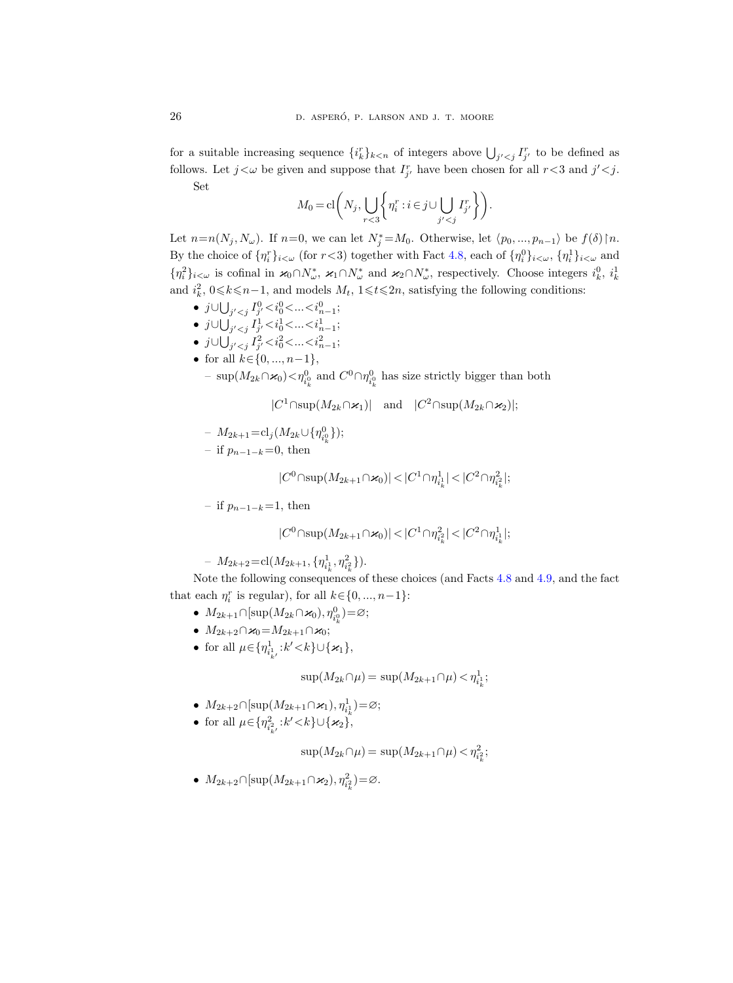for a suitable increasing sequence  $\{i_k^r\}_{k \leq n}$  of integers above  $\bigcup_{j' \leq j} I_{j'}^r$  to be defined as follows. Let  $j < \omega$  be given and suppose that  $I_{j'}^r$  have been chosen for all  $r < 3$  and  $j' < j$ . Set

$$
M_0 = \mathbf{cl}\bigg(N_j, \bigcup_{r < 3} \bigg\{ \eta_i^r : i \in j \cup \bigcup_{j' < j} I_{j'}^r \bigg\} \bigg).
$$

Let  $n=n(N_j, N_\omega)$ . If  $n=0$ , we can let  $N_j^* = M_0$ . Otherwise, let  $\langle p_0, ..., p_{n-1} \rangle$  be  $f(\delta) \upharpoonright n$ . By the choice of  $\{\eta_i^r\}_{i\leq \omega}$  (for  $r<3$ ) together with Fact [4.8,](#page-23-0) each of  $\{\eta_i^0\}_{i\leq \omega}, \{\eta_i^1\}_{i\leq \omega}$  and  $\{\eta_i^2\}_{i\leq\omega}$  is cofinal in  $\varkappa_0 \cap N^*_{\omega}$ ,  $\varkappa_1 \cap N^*_{\omega}$  and  $\varkappa_2 \cap N^*_{\omega}$ , respectively. Choose integers  $i_k^0$ ,  $i_k^1$ and  $i_k^2$ ,  $0 \le k \le n-1$ , and models  $M_t$ ,  $1 \le t \le 2n$ , satisfying the following conditions:

- $j$ ∪ $\bigcup_{j' < j} I_{j'}^0 < i_0^0 < ... < i_{n-1}^0;$
- $j$ ∪ $\bigcup_{j' < j} I_{j'}^1 < i_0^1 < ... < i_{n-1}^1;$
- j∪ $\bigcup_{j' < j} I_{j'}^2 < i_0^2 < ... < i_{n-1}^2;$
- for all  $k \in \{0, ..., n-1\}$ ,
	- $-$  sup( $M_{2k} ∩ χ_0$ ) <  $η_{i_k^0}^0$  and  $C^0 ∩ η_{i_k^0}^0$  has size strictly bigger than both

 $|C^1 \cap \text{sup}(M_{2k} \cap \varkappa_1)|$  and  $|C^2 \cap \text{sup}(M_{2k} \cap \varkappa_2)|;$ 

 $-M_{2k+1} = cl_j(M_{2k} \cup \{\eta_{i_k}^0\});$ 

– if  $p_{n-1-k}=0$ , then

$$
|C^0 \cap \sup(M_{2k+1} \cap \varkappa_0)| < |C^1 \cap \eta^1_{i^1_k}| < |C^2 \cap \eta^2_{i^2_k}|;
$$

– if  $p_{n-1-k}=1$ , then

$$
|C^0 \cap \sup(M_{2k+1} \cap \varkappa_0)| < |C^1 \cap \eta_{i_k^2}^2| < |C^2 \cap \eta_{i_k^1}^1|;
$$

 $-M_{2k+2} = \text{cl}(M_{2k+1}, \{\eta_{i_k}^1, \eta_{i_k}^2\}).$ 

Note the following consequences of these choices (and Facts [4.8](#page-23-0) and [4.9,](#page-23-1) and the fact that each  $\eta_i^r$  is regular), for all  $k \in \{0, ..., n-1\}$ :

- $M_{2k+1} \cap [\sup(M_{2k} \cap \varkappa_0), \eta_{i_k}^0] = \varnothing;$
- $M_{2k+2} \cap \varkappa_0 = M_{2k+1} \cap \varkappa_0;$
- for all  $\mu \in {\{ \eta_{i_{k'}^1}^1 : k' < k \} \cup {\{\mathcal{X}_1\}}},$

 $\sup(M_{2k}\cap\mu) = \sup(M_{2k+1}\cap\mu) < \eta_{i_k}^1;$ 

- $M_{2k+2} \cap [\sup(M_{2k+1} \cap \varkappa_1), \eta_{i_k}^1] = \varnothing;$
- for all  $\mu \in {\{ \eta_{i_{k'}^2}^2 : k' < k \} \cup {\{\mathbf{x}_2\}}},$

$$
\sup(M_{2k} \cap \mu) = \sup(M_{2k+1} \cap \mu) < \eta_{i_k}^2;
$$

•  $M_{2k+2} \cap [\sup(M_{2k+1} \cap \varkappa_2), \eta_{i_k}^2] = \emptyset.$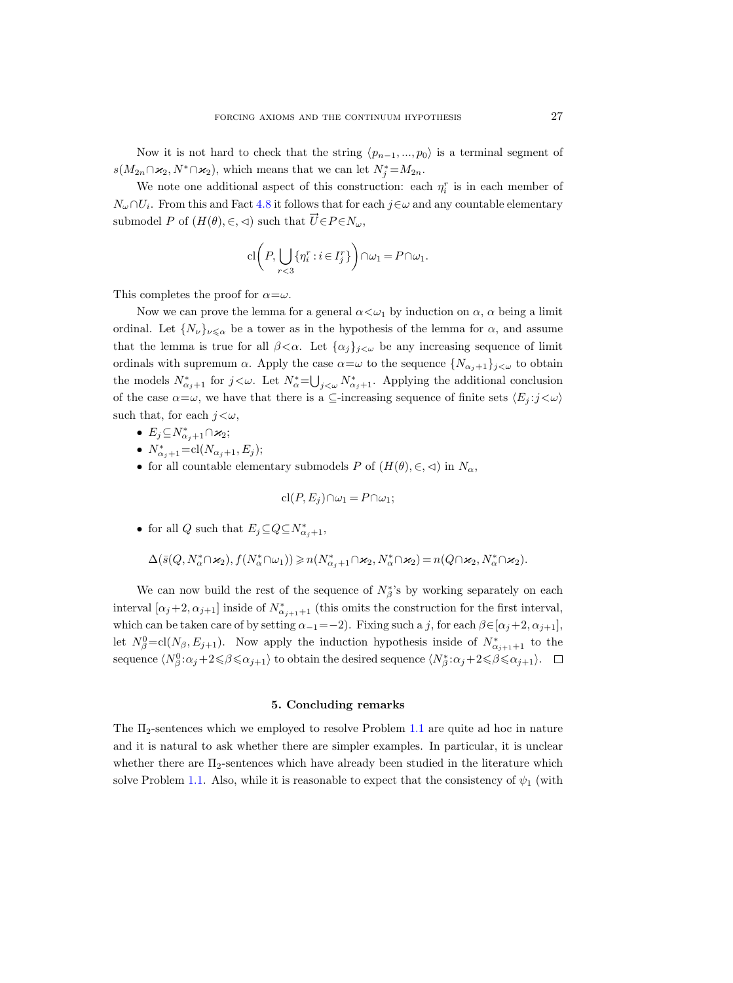Now it is not hard to check that the string  $\langle p_{n-1}, ..., p_0 \rangle$  is a terminal segment of  $s(M_{2n} \cap \varkappa_2, N^* \cap \varkappa_2)$ , which means that we can let  $N_j^* = M_{2n}$ .

We note one additional aspect of this construction: each  $\eta_i^r$  is in each member of  $N_{\omega} \cap U_i$ . From this and Fact [4.8](#page-23-0) it follows that for each  $j \in \omega$  and any countable elementary submodel P of  $(H(\theta), \in, \leq)$  such that  $\vec{U} \in P \in N_\omega$ ,

$$
\mathrm{cl}\bigg(P,\bigcup_{r<3}\{\eta_i^r:i\in I_j^r\}\bigg)\cap\omega_1=P\cap\omega_1.
$$

This completes the proof for  $\alpha = \omega$ .

Now we can prove the lemma for a general  $\alpha < \omega_1$  by induction on  $\alpha$ ,  $\alpha$  being a limit ordinal. Let  $\{N_{\nu}\}_{\nu\leq\alpha}$  be a tower as in the hypothesis of the lemma for  $\alpha$ , and assume that the lemma is true for all  $\beta < \alpha$ . Let  $\{\alpha_j\}_{j\lt\omega}$  be any increasing sequence of limit ordinals with supremum  $\alpha$ . Apply the case  $\alpha = \omega$  to the sequence  $\{N_{\alpha_j+1}\}_{j\leq \omega}$  to obtain the models  $N^*_{\alpha_j+1}$  for  $j<\omega$ . Let  $N^*_{\alpha}=\bigcup_{j<\omega}N^*_{\alpha_j+1}$ . Applying the additional conclusion of the case  $\alpha = \omega$ , we have that there is a ⊆-increasing sequence of finite sets  $\langle E_j : j < \omega \rangle$ such that, for each  $j < \omega$ ,

- $E_j \subseteq N^*_{\alpha_j+1} \cap \varkappa_2;$
- $N_{\alpha_j+1}^* = \text{cl}(N_{\alpha_j+1}, E_j);$
- for all countable elementary submodels P of  $(H(\theta), \in, \leq)$  in  $N_{\alpha}$ ,

$$
\mathrm{cl}(P, E_j) \cap \omega_1 = P \cap \omega_1;
$$

• for all Q such that  $E_j \subseteq Q \subseteq N^*_{\alpha_j+1}$ ,

$$
\Delta(\bar{s}(Q,N_{\alpha}^*\cap \varkappa_2),f(N_{\alpha}^*\cap \omega_1))\geqslant n(N_{\alpha_j+1}^*\cap \varkappa_2,N_{\alpha}^*\cap \varkappa_2)=n(Q\cap \varkappa_2,N_{\alpha}^*\cap \varkappa_2).
$$

We can now build the rest of the sequence of  $N^*_{\beta}$ 's by working separately on each interval  $[\alpha_j+2, \alpha_{j+1}]$  inside of  $N^*_{\alpha_{j+1}+1}$  (this omits the construction for the first interval, which can be taken care of by setting  $\alpha_{-1}=-2$ ). Fixing such a j, for each  $\beta \in [\alpha_j+2, \alpha_{j+1}],$ let  $N_{\beta}^0 = \text{cl}(N_{\beta}, E_{j+1})$ . Now apply the induction hypothesis inside of  $N_{\alpha_{j+1}+1}^*$  to the sequence  $\langle N_{\beta}^0:\alpha_j+2{\leqslant}\beta{\leqslant}\alpha_{j+1}\rangle$  to obtain the desired sequence  $\langle N_{\beta}^*:\alpha_j+2{\leqslant}\beta{\leqslant}\alpha_{j+1}\rangle$ .

#### 5. Concluding remarks

<span id="page-26-0"></span>The Π2-sentences which we employed to resolve Problem [1.1](#page-1-0) are quite ad hoc in nature and it is natural to ask whether there are simpler examples. In particular, it is unclear whether there are  $\Pi_2$ -sentences which have already been studied in the literature which solve Problem [1.1.](#page-1-0) Also, while it is reasonable to expect that the consistency of  $\psi_1$  (with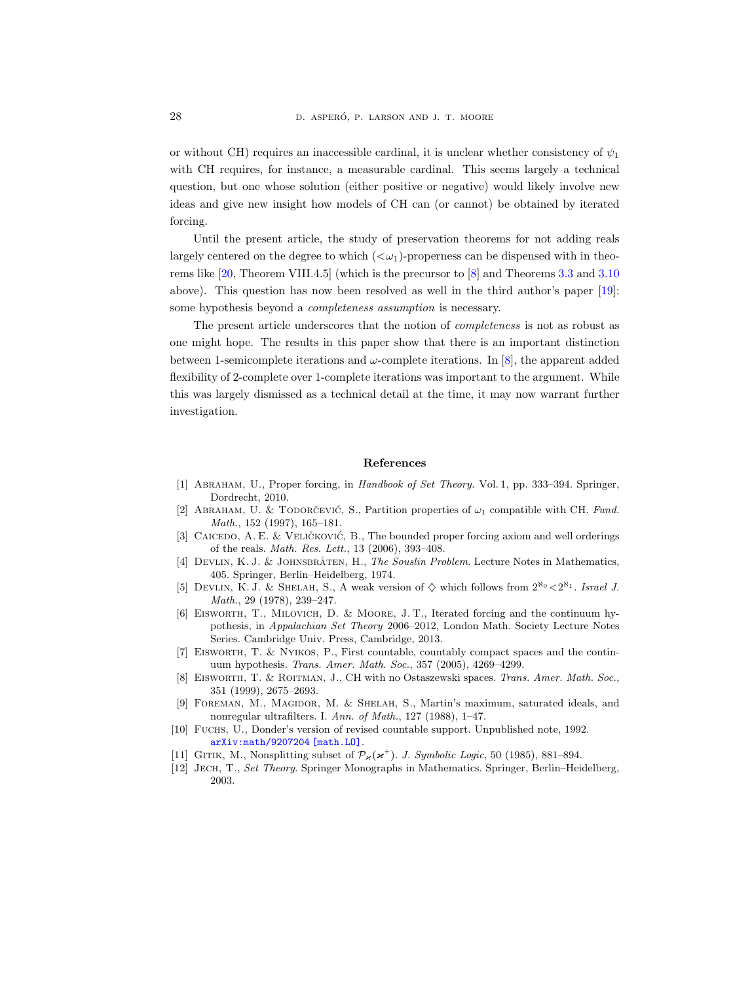or without CH) requires an inaccessible cardinal, it is unclear whether consistency of  $\psi_1$ with CH requires, for instance, a measurable cardinal. This seems largely a technical question, but one whose solution (either positive or negative) would likely involve new ideas and give new insight how models of CH can (or cannot) be obtained by iterated forcing.

Until the present article, the study of preservation theorems for not adding reals largely centered on the degree to which  $( $\omega_1$ )-properties can be dispensed with in theo$ rems like [\[20,](#page-28-3) Theorem VIII.4.5] (which is the precursor to [\[8\]](#page-27-4) and Theorems [3.3](#page-8-0) and [3.10](#page-13-0) above). This question has now been resolved as well in the third author's paper [\[19\]](#page-28-9): some hypothesis beyond a completeness assumption is necessary.

The present article underscores that the notion of completeness is not as robust as one might hope. The results in this paper show that there is an important distinction between 1-semicomplete iterations and  $\omega$ -complete iterations. In [\[8\]](#page-27-4), the apparent added flexibility of 2-complete over 1-complete iterations was important to the argument. While this was largely dismissed as a technical detail at the time, it may now warrant further investigation.

#### References

- <span id="page-27-10"></span>[1] Abraham, U., Proper forcing, in Handbook of Set Theory. Vol. 1, pp. 333–394. Springer, Dordrecht, 2010.
- <span id="page-27-2"></span>[2] ABRAHAM, U. & TODORCEVIC, S., Partition properties of  $\omega_1$  compatible with CH. Fund. Math., 152 (1997), 165–181.
- <span id="page-27-5"></span>[3] CAICEDO, A. E. & VELIČKOVIĆ, B., The bounded proper forcing axiom and well orderings of the reals. Math. Res. Lett., 13 (2006), 393–408.
- <span id="page-27-1"></span>[4] DEVLIN, K. J. & JOHNSBRÅTEN, H., The Souslin Problem. Lecture Notes in Mathematics, 405. Springer, Berlin–Heidelberg, 1974.
- <span id="page-27-8"></span>[5] DEVLIN, K. J. & SHELAH, S., A weak version of  $\diamond$  which follows from  $2^{\aleph_0} < 2^{\aleph_1}$ . Israel J. Math., 29 (1978), 239–247.
- <span id="page-27-6"></span>[6] Eisworth, T., Milovich, D. & Moore, J. T., Iterated forcing and the continuum hypothesis, in Appalachian Set Theory 2006–2012, London Math. Society Lecture Notes Series. Cambridge Univ. Press, Cambridge, 2013.
- <span id="page-27-3"></span>[7] Eisworth, T. & Nyikos, P., First countable, countably compact spaces and the continuum hypothesis. Trans. Amer. Math. Soc., 357 (2005), 4269–4299.
- <span id="page-27-4"></span>[8] EISWORTH, T. & ROITMAN, J., CH with no Ostaszewski spaces. Trans. Amer. Math. Soc., 351 (1999), 2675–2693.
- <span id="page-27-0"></span>[9] Foreman, M., Magidor, M. & Shelah, S., Martin's maximum, saturated ideals, and nonregular ultrafilters. I. Ann. of Math., 127 (1988), 1–47.
- <span id="page-27-11"></span>[10] Fuchs, U., Donder's version of revised countable support. Unpublished note, 1992. [arXiv:math/9207204 \[math.LO\]](http://arxiv.org/abs/math/9207204).
- <span id="page-27-9"></span>[11] GITIK, M., Nonsplitting subset of  $\mathcal{P}_{\varkappa}(\varkappa^{+})$ . J. Symbolic Logic, 50 (1985), 881–894.
- <span id="page-27-7"></span>[12] Jech, T., Set Theory. Springer Monographs in Mathematics. Springer, Berlin–Heidelberg, 2003.